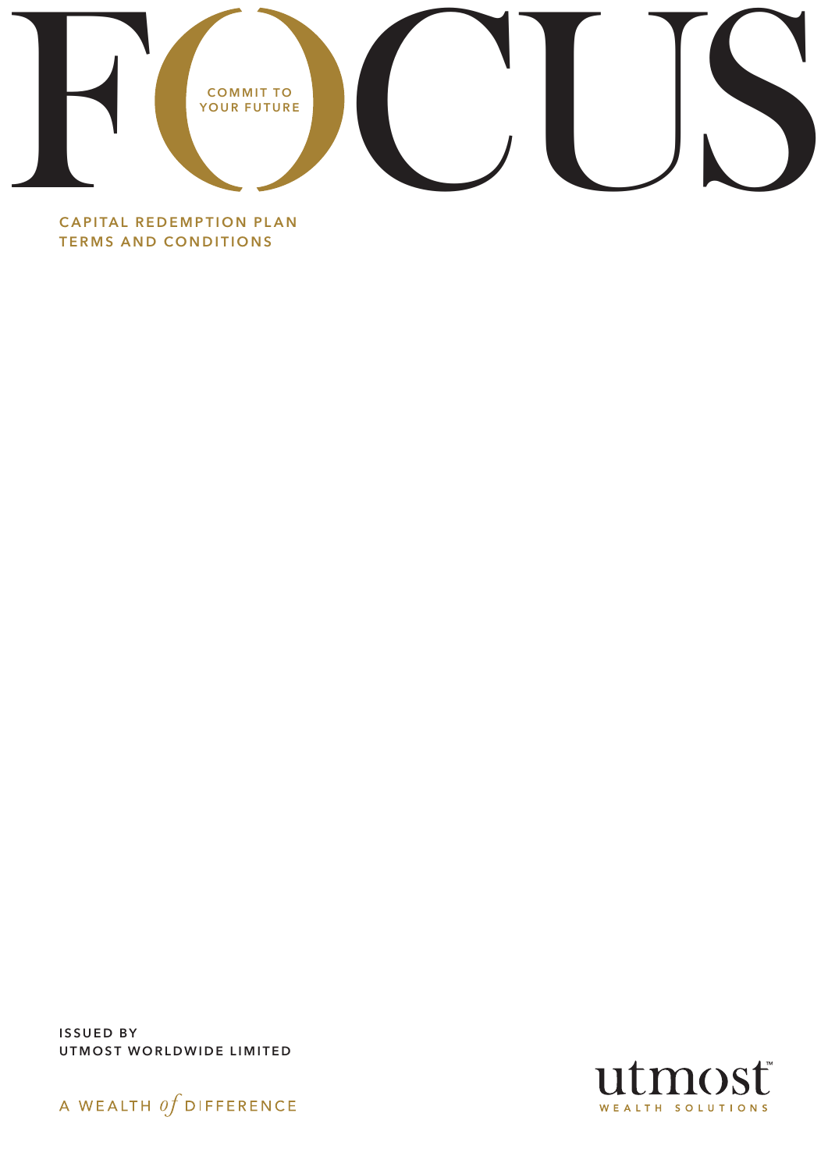

CAPITAL REDEMPTION PLAN TERMS AND CONDITIONS

ISSUED BY UTMOST WORLDWIDE LIMITED



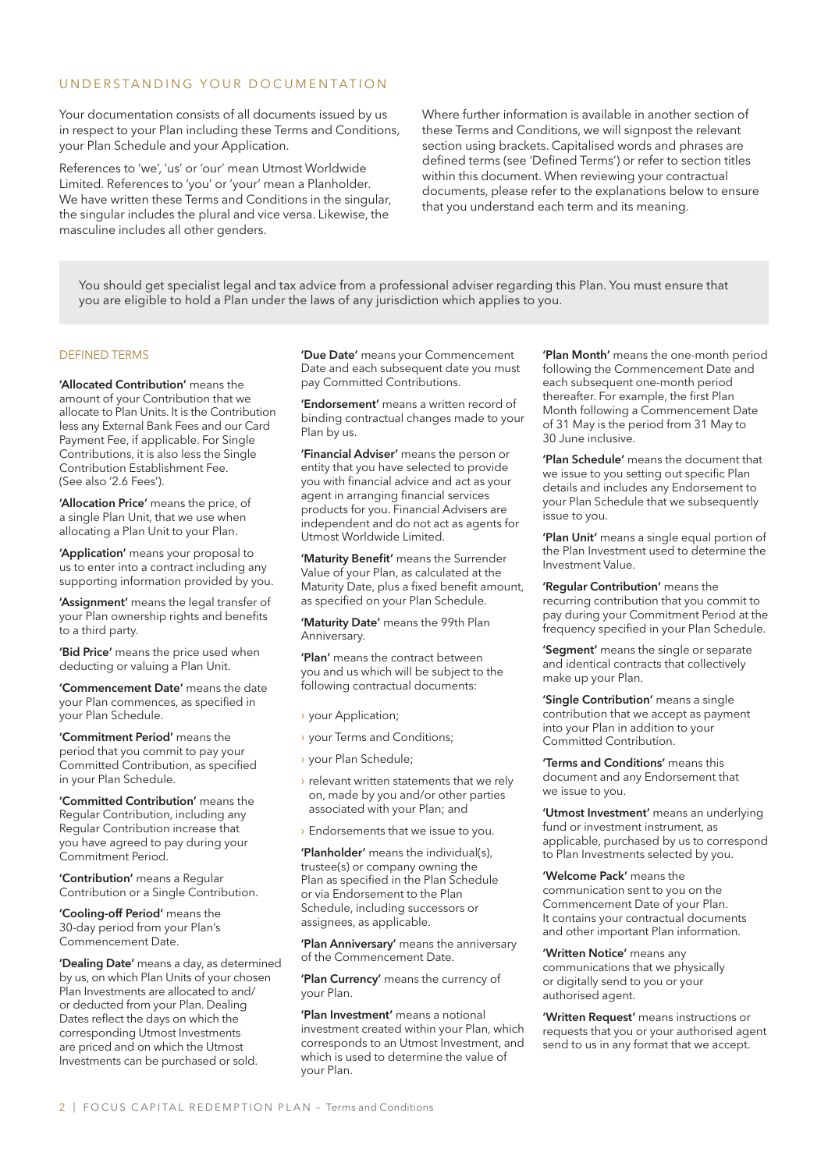### UNDERSTANDING YOUR DOCUMENTATION

Your documentation consists of all documents issued by us in respect to your Plan including these Terms and Conditions, your Plan Schedule and your Application.

References to 'we', 'us' or 'our' mean Utmost Worldwide Limited. References to 'you' or 'your' mean a Planholder. We have written these Terms and Conditions in the singular, the singular includes the plural and vice versa. Likewise, the masculine includes all other genders.

Where further information is available in another section of these Terms and Conditions, we will signpost the relevant section using brackets. Capitalised words and phrases are defined terms (see 'Defined Terms') or refer to section titles within this document. When reviewing your contractual documents, please refer to the explanations below to ensure that you understand each term and its meaning.

You should get specialist legal and tax advice from a professional adviser regarding this Plan. You must ensure that you are eligible to hold a Plan under the laws of any jurisdiction which applies to you.

#### DEFINED TERMS

'Allocated Contribution' means the amount of your Contribution that we allocate to Plan Units. It is the Contribution less any External Bank Fees and our Card Payment Fee, if applicable. For Single Contributions, it is also less the Single Contribution Establishment Fee. (See also '2.6 Fees').

'Allocation Price' means the price, of a single Plan Unit, that we use when allocating a Plan Unit to your Plan.

'Application' means your proposal to us to enter into a contract including any supporting information provided by you.

'Assignment' means the legal transfer of your Plan ownership rights and benefits to a third party.

'Bid Price' means the price used when deducting or valuing a Plan Unit.

'Commencement Date' means the date your Plan commences, as specified in your Plan Schedule.

'Commitment Period' means the period that you commit to pay your Committed Contribution, as specified in your Plan Schedule.

'Committed Contribution' means the Regular Contribution, including any Regular Contribution increase that you have agreed to pay during your Commitment Period.

'Contribution' means a Regular Contribution or a Single Contribution.

'Cooling-off Period' means the 30-day period from your Plan's Commencement Date.

'Dealing Date' means a day, as determined by us, on which Plan Units of your chosen Plan Investments are allocated to and/ or deducted from your Plan. Dealing Dates reflect the days on which the corresponding Utmost Investments are priced and on which the Utmost Investments can be purchased or sold.

'Due Date' means your Commencement Date and each subsequent date you must pay Committed Contributions.

'Endorsement' means a written record of binding contractual changes made to your Plan by us.

'Financial Adviser' means the person or entity that you have selected to provide you with financial advice and act as your agent in arranging financial services products for you. Financial Advisers are independent and do not act as agents for Utmost Worldwide Limited.

'Maturity Benefit' means the Surrender Value of your Plan, as calculated at the Maturity Date, plus a fixed benefit amount, as specified on your Plan Schedule.

'Maturity Date' means the 99th Plan Anniversary.

'Plan' means the contract between you and us which will be subject to the following contractual documents:

- › your Application;
- › your Terms and Conditions;
- › your Plan Schedule;
- $\rightarrow$  relevant written statements that we rely on, made by you and/or other parties associated with your Plan; and
- › Endorsements that we issue to you.

'Planholder' means the individual(s), trustee(s) or company owning the Plan as specified in the Plan Schedule or via Endorsement to the Plan Schedule, including successors or assignees, as applicable.

'Plan Anniversary' means the anniversary of the Commencement Date.

'Plan Currency' means the currency of your Plan.

'Plan Investment' means a notional investment created within your Plan, which corresponds to an Utmost Investment, and which is used to determine the value of your Plan.

'Plan Month' means the one-month period following the Commencement Date and each subsequent one-month period thereafter. For example, the first Plan Month following a Commencement Date of 31 May is the period from 31 May to 30 June inclusive.

'Plan Schedule' means the document that we issue to you setting out specific Plan details and includes any Endorsement to your Plan Schedule that we subsequently issue to you.

'Plan Unit' means a single equal portion of the Plan Investment used to determine the Investment Value.

'Regular Contribution' means the recurring contribution that you commit to pay during your Commitment Period at the frequency specified in your Plan Schedule.

'Segment' means the single or separate and identical contracts that collectively make up your Plan.

'Single Contribution' means a single contribution that we accept as payment into your Plan in addition to your Committed Contribution.

'Terms and Conditions' means this document and any Endorsement that we issue to you.

'Utmost Investment' means an underlying fund or investment instrument, as applicable, purchased by us to correspond to Plan Investments selected by you.

'Welcome Pack' means the communication sent to you on the Commencement Date of your Plan. It contains your contractual documents and other important Plan information.

'Written Notice' means any communications that we physically or digitally send to you or your authorised agent.

'Written Request' means instructions or requests that you or your authorised agent send to us in any format that we accept.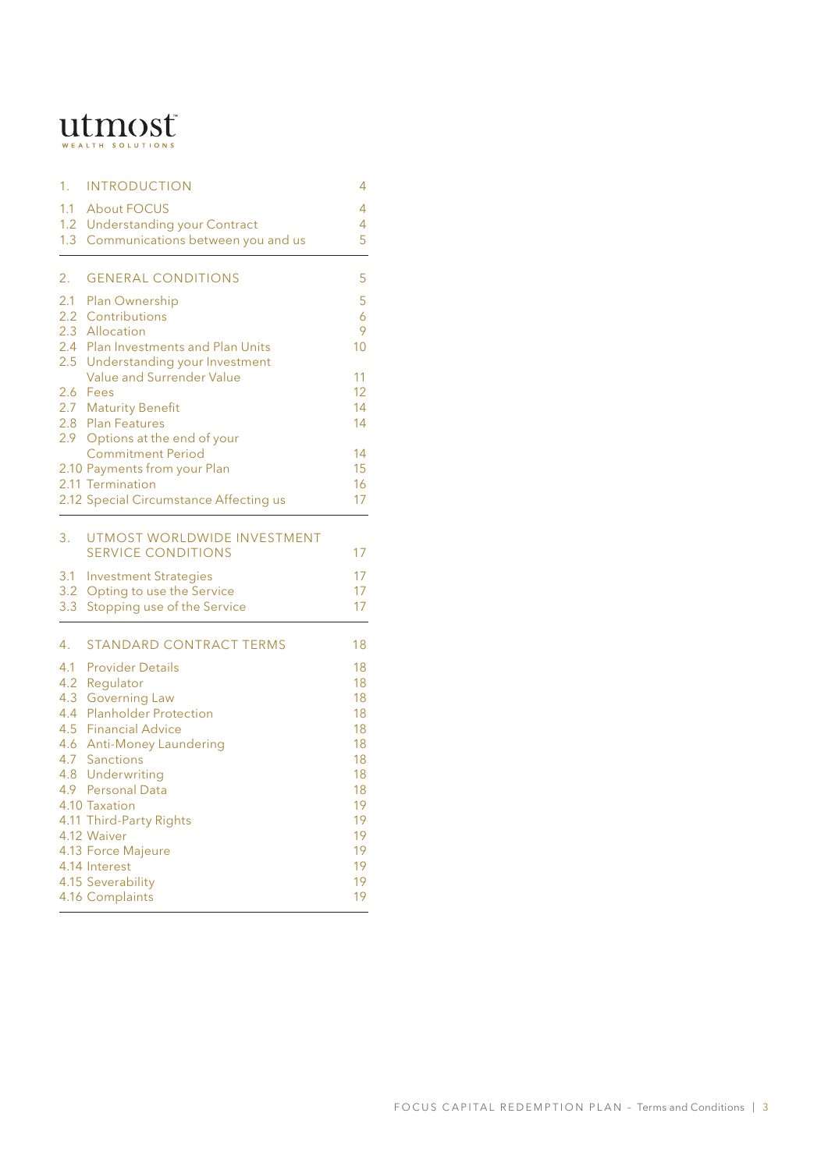# $\mathbf{u}$ tmsolutions

| 1.  | <b>INTRODUCTION</b>                    | 4        |
|-----|----------------------------------------|----------|
| 1.1 | <b>About FOCUS</b>                     | 4        |
|     | 1.2 Understanding your Contract        | 4        |
|     | 1.3 Communications between you and us  | 5        |
| 2.  | <b>GENERAL CONDITIONS</b>              | 5        |
|     | 2.1 Plan Ownership                     | 5        |
|     | 2.2 Contributions                      | 6        |
|     | 2.3 Allocation                         | 9        |
|     | 2.4 Plan Investments and Plan Units    | 10       |
|     | 2.5 Understanding your Investment      |          |
|     | Value and Surrender Value<br>2.6 Fees  | 11<br>12 |
|     | 2.7 Maturity Benefit                   | 14       |
|     | 2.8 Plan Features                      | 14       |
|     | 2.9 Options at the end of your         |          |
|     | <b>Commitment Period</b>               | 14       |
|     | 2.10 Payments from your Plan           | 15       |
|     | 2.11 Termination                       | 16       |
|     | 2.12 Special Circumstance Affecting us | 17       |
| 3.  | UTMOST WORLDWIDE INVESTMENT            |          |
|     | <b>SERVICE CONDITIONS</b>              | 17       |
|     | 3.1 Investment Strategies              | 17       |
|     | 3.2 Opting to use the Service          | 17       |
| 3.3 | Stopping use of the Service            | 17       |
| 4.  | <b>STANDARD CONTRACT TERMS</b>         | 18       |
| 4.1 | <b>Provider Details</b>                | 18       |
|     | 4.2 Regulator                          | 18       |
| 4.3 | <b>Governing Law</b>                   | 18       |
|     | 4.4 Planholder Protection              | 18       |
| 4.5 | <b>Financial Advice</b>                | 18       |
|     | 4.6 Anti-Money Laundering              | 18       |
|     | 4.7 Sanctions<br>4.8 Underwriting      | 18<br>18 |
|     | 4.9 Personal Data                      | 18       |
|     | 4.10 Taxation                          | 19       |
|     | 4.11 Third-Party Rights                | 19       |
|     | 4.12 Waiver                            | 19       |
|     | 4.13 Force Majeure                     | 19       |
|     | 4.14 Interest                          | 19       |
|     | 4.15 Severability                      | 19       |
|     | 4.16 Complaints                        | 19       |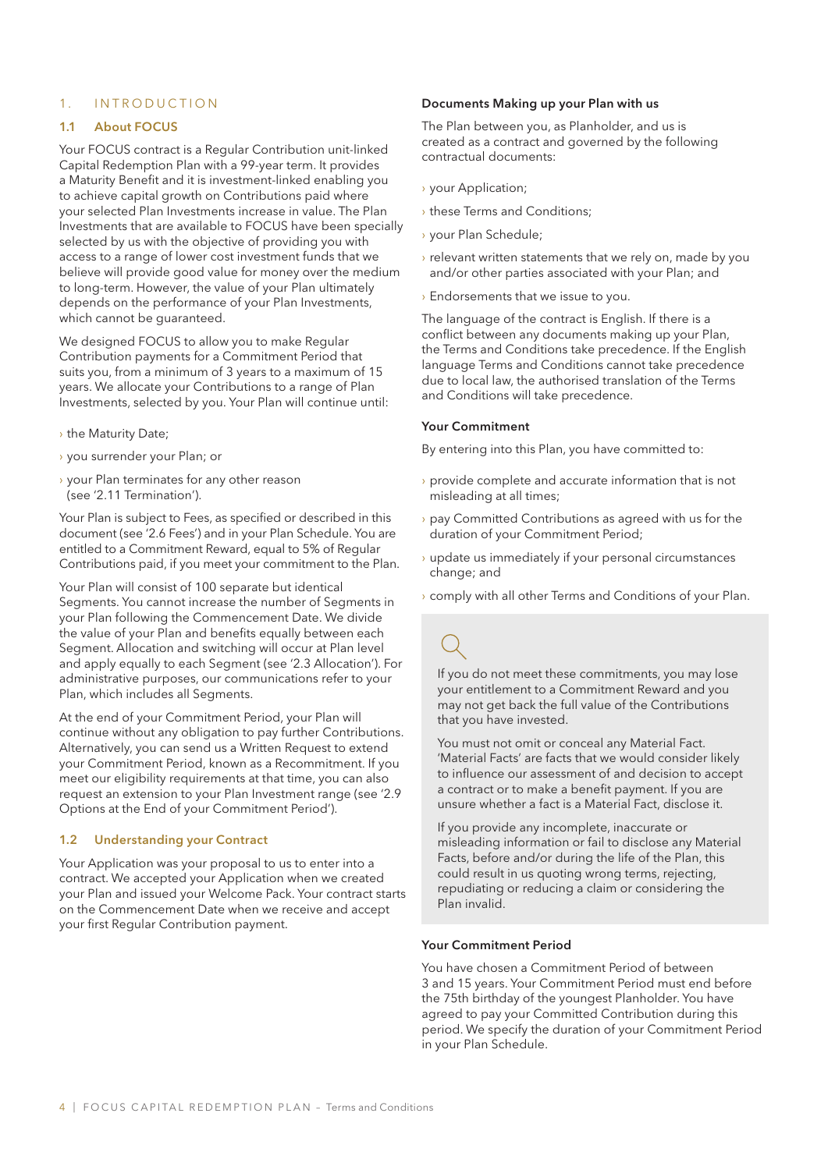### 1. INTRODUCTION

#### 1.1 About FOCUS

Your FOCUS contract is a Regular Contribution unit-linked Capital Redemption Plan with a 99-year term. It provides a Maturity Benefit and it is investment-linked enabling you to achieve capital growth on Contributions paid where your selected Plan Investments increase in value. The Plan Investments that are available to FOCUS have been specially selected by us with the objective of providing you with access to a range of lower cost investment funds that we believe will provide good value for money over the medium to long-term. However, the value of your Plan ultimately depends on the performance of your Plan Investments, which cannot be guaranteed.

We designed FOCUS to allow you to make Regular Contribution payments for a Commitment Period that suits you, from a minimum of 3 years to a maximum of 15 years. We allocate your Contributions to a range of Plan Investments, selected by you. Your Plan will continue until:

- › the Maturity Date;
- › you surrender your Plan; or
- › your Plan terminates for any other reason (see '2.11 Termination').

Your Plan is subject to Fees, as specified or described in this document (see '2.6 Fees') and in your Plan Schedule. You are entitled to a Commitment Reward, equal to 5% of Regular Contributions paid, if you meet your commitment to the Plan.

Your Plan will consist of 100 separate but identical Segments. You cannot increase the number of Segments in your Plan following the Commencement Date. We divide the value of your Plan and benefits equally between each Segment. Allocation and switching will occur at Plan level and apply equally to each Segment (see '2.3 Allocation'). For administrative purposes, our communications refer to your Plan, which includes all Segments.

At the end of your Commitment Period, your Plan will continue without any obligation to pay further Contributions. Alternatively, you can send us a Written Request to extend your Commitment Period, known as a Recommitment. If you meet our eligibility requirements at that time, you can also request an extension to your Plan Investment range (see '2.9 Options at the End of your Commitment Period').

### 1.2 Understanding your Contract

Your Application was your proposal to us to enter into a contract. We accepted your Application when we created your Plan and issued your Welcome Pack. Your contract starts on the Commencement Date when we receive and accept your first Regular Contribution payment.

### Documents Making up your Plan with us

The Plan between you, as Planholder, and us is created as a contract and governed by the following contractual documents:

- › your Application;
- › these Terms and Conditions;
- › your Plan Schedule;
- › relevant written statements that we rely on, made by you and/or other parties associated with your Plan; and
- › Endorsements that we issue to you.

The language of the contract is English. If there is a conflict between any documents making up your Plan, the Terms and Conditions take precedence. If the English language Terms and Conditions cannot take precedence due to local law, the authorised translation of the Terms and Conditions will take precedence.

#### Your Commitment

By entering into this Plan, you have committed to:

- › provide complete and accurate information that is not misleading at all times;
- › pay Committed Contributions as agreed with us for the duration of your Commitment Period;
- › update us immediately if your personal circumstances change; and
- › comply with all other Terms and Conditions of your Plan.

If you do not meet these commitments, you may lose your entitlement to a Commitment Reward and you may not get back the full value of the Contributions that you have invested.

You must not omit or conceal any Material Fact. 'Material Facts' are facts that we would consider likely to influence our assessment of and decision to accept a contract or to make a benefit payment. If you are unsure whether a fact is a Material Fact, disclose it.

If you provide any incomplete, inaccurate or misleading information or fail to disclose any Material Facts, before and/or during the life of the Plan, this could result in us quoting wrong terms, rejecting, repudiating or reducing a claim or considering the Plan invalid.

#### Your Commitment Period

You have chosen a Commitment Period of between 3 and 15 years. Your Commitment Period must end before the 75th birthday of the youngest Planholder. You have agreed to pay your Committed Contribution during this period. We specify the duration of your Commitment Period in your Plan Schedule.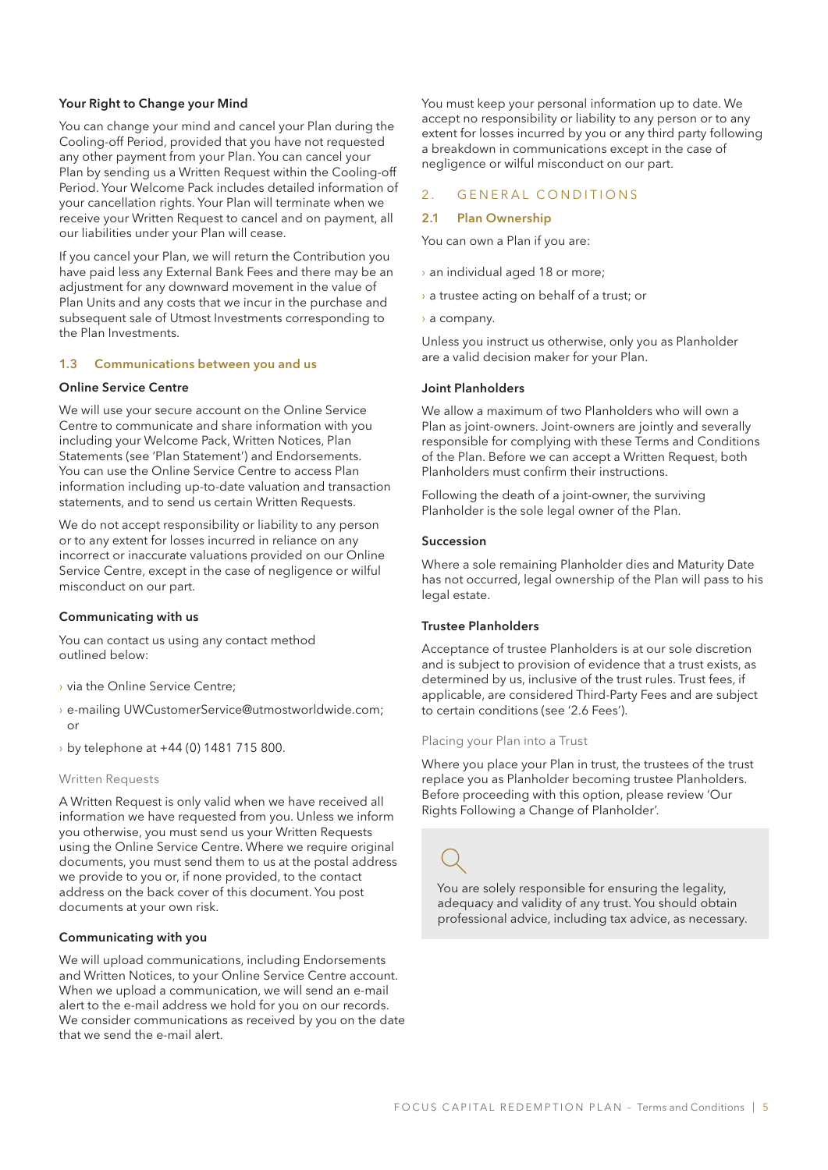#### Your Right to Change your Mind

You can change your mind and cancel your Plan during the Cooling-off Period, provided that you have not requested any other payment from your Plan. You can cancel your Plan by sending us a Written Request within the Cooling-off Period. Your Welcome Pack includes detailed information of your cancellation rights. Your Plan will terminate when we receive your Written Request to cancel and on payment, all our liabilities under your Plan will cease.

If you cancel your Plan, we will return the Contribution you have paid less any External Bank Fees and there may be an adjustment for any downward movement in the value of Plan Units and any costs that we incur in the purchase and subsequent sale of Utmost Investments corresponding to the Plan Investments.

#### 1.3 Communications between you and us

#### Online Service Centre

We will use your secure account on the Online Service Centre to communicate and share information with you including your Welcome Pack, Written Notices, Plan Statements (see 'Plan Statement') and Endorsements. You can use the Online Service Centre to access Plan information including up-to-date valuation and transaction statements, and to send us certain Written Requests.

We do not accept responsibility or liability to any person or to any extent for losses incurred in reliance on any incorrect or inaccurate valuations provided on our Online Service Centre, except in the case of negligence or wilful misconduct on our part.

#### Communicating with us

You can contact us using any contact method outlined below:

- › via the Online Service Centre;
- › e-mailing UWCustomerService@utmostworldwide.com; or
- › by telephone at +44 (0) 1481 715 800.

#### Written Requests

A Written Request is only valid when we have received all information we have requested from you. Unless we inform you otherwise, you must send us your Written Requests using the Online Service Centre. Where we require original documents, you must send them to us at the postal address we provide to you or, if none provided, to the contact address on the back cover of this document. You post documents at your own risk.

#### Communicating with you

We will upload communications, including Endorsements and Written Notices, to your Online Service Centre account. When we upload a communication, we will send an e-mail alert to the e-mail address we hold for you on our records. We consider communications as received by you on the date that we send the e-mail alert.

You must keep your personal information up to date. We accept no responsibility or liability to any person or to any extent for losses incurred by you or any third party following a breakdown in communications except in the case of negligence or wilful misconduct on our part.

### 2. GENERAL CONDITIONS

#### 2.1 Plan Ownership

You can own a Plan if you are:

- › an individual aged 18 or more;
- › a trustee acting on behalf of a trust; or
- › a company.

Unless you instruct us otherwise, only you as Planholder are a valid decision maker for your Plan.

#### Joint Planholders

We allow a maximum of two Planholders who will own a Plan as joint-owners. Joint-owners are jointly and severally responsible for complying with these Terms and Conditions of the Plan. Before we can accept a Written Request, both Planholders must confirm their instructions.

Following the death of a joint-owner, the surviving Planholder is the sole legal owner of the Plan.

#### Succession

Where a sole remaining Planholder dies and Maturity Date has not occurred, legal ownership of the Plan will pass to his legal estate.

#### Trustee Planholders

Acceptance of trustee Planholders is at our sole discretion and is subject to provision of evidence that a trust exists, as determined by us, inclusive of the trust rules. Trust fees, if applicable, are considered Third-Party Fees and are subject to certain conditions (see '2.6 Fees').

#### Placing your Plan into a Trust

Where you place your Plan in trust, the trustees of the trust replace you as Planholder becoming trustee Planholders. Before proceeding with this option, please review 'Our Rights Following a Change of Planholder'.

You are solely responsible for ensuring the legality, adequacy and validity of any trust. You should obtain professional advice, including tax advice, as necessary.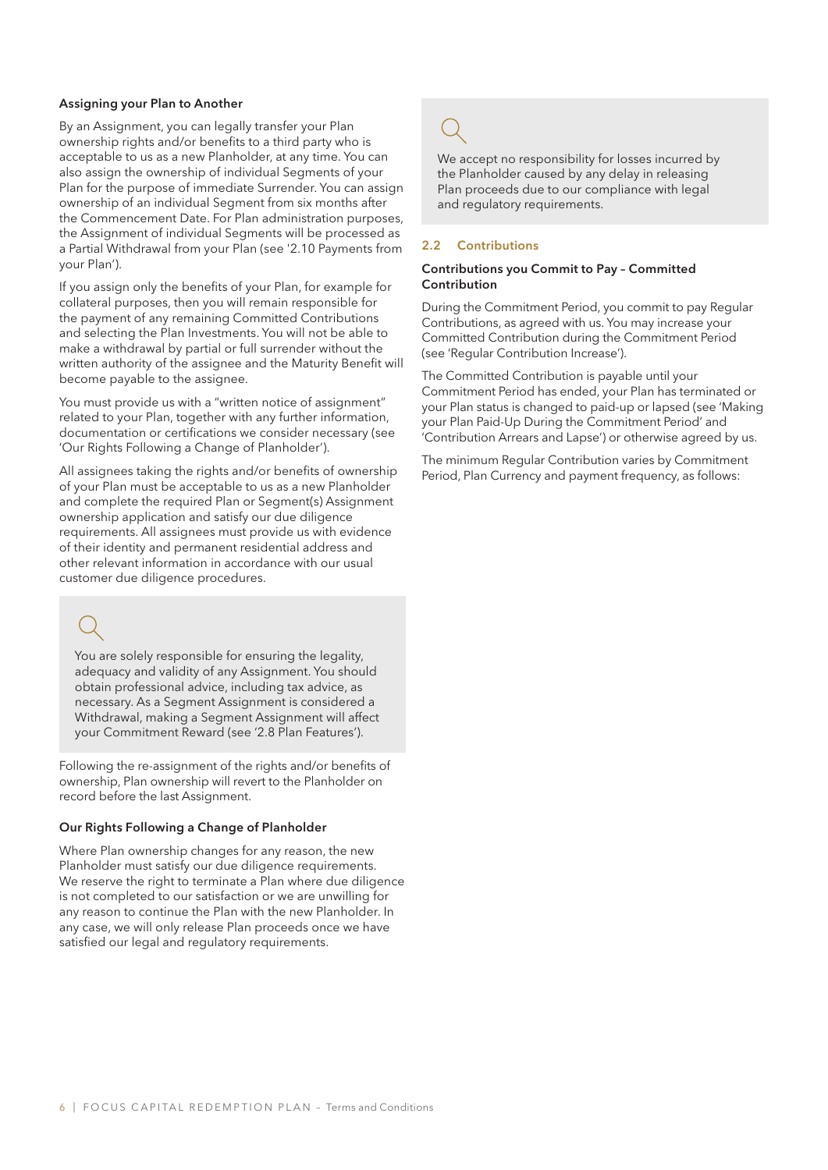#### Assigning your Plan to Another

By an Assignment, you can legally transfer your Plan ownership rights and/or benefits to a third party who is acceptable to us as a new Planholder, at any time. You can also assign the ownership of individual Segments of your Plan for the purpose of immediate Surrender. You can assign ownership of an individual Segment from six months after the Commencement Date. For Plan administration purposes, the Assignment of individual Segments will be processed as a Partial Withdrawal from your Plan (see '2.10 Payments from your Plan').

If you assign only the benefits of your Plan, for example for collateral purposes, then you will remain responsible for the payment of any remaining Committed Contributions and selecting the Plan Investments. You will not be able to make a withdrawal by partial or full surrender without the written authority of the assignee and the Maturity Benefit will become payable to the assignee.

You must provide us with a "written notice of assignment" related to your Plan, together with any further information, documentation or certifications we consider necessary (see 'Our Rights Following a Change of Planholder').

All assignees taking the rights and/or benefits of ownership of your Plan must be acceptable to us as a new Planholder and complete the required Plan or Segment(s) Assignment ownership application and satisfy our due diligence requirements. All assignees must provide us with evidence of their identity and permanent residential address and other relevant information in accordance with our usual customer due diligence procedures.

You are solely responsible for ensuring the legality, adequacy and validity of any Assignment. You should obtain professional advice, including tax advice, as necessary. As a Segment Assignment is considered a Withdrawal, making a Segment Assignment will affect your Commitment Reward (see '2.8 Plan Features').

Following the re-assignment of the rights and/or benefits of ownership, Plan ownership will revert to the Planholder on record before the last Assignment.

### Our Rights Following a Change of Planholder

Where Plan ownership changes for any reason, the new Planholder must satisfy our due diligence requirements. We reserve the right to terminate a Plan where due diligence is not completed to our satisfaction or we are unwilling for any reason to continue the Plan with the new Planholder. In any case, we will only release Plan proceeds once we have satisfied our legal and regulatory requirements.

We accept no responsibility for losses incurred by the Planholder caused by any delay in releasing Plan proceeds due to our compliance with legal and regulatory requirements.

### 2.2 Contributions

#### Contributions you Commit to Pay – Committed **Contribution**

During the Commitment Period, you commit to pay Regular Contributions, as agreed with us. You may increase your Committed Contribution during the Commitment Period (see 'Regular Contribution Increase').

The Committed Contribution is payable until your Commitment Period has ended, your Plan has terminated or your Plan status is changed to paid-up or lapsed (see 'Making your Plan Paid-Up During the Commitment Period' and 'Contribution Arrears and Lapse') or otherwise agreed by us.

The minimum Regular Contribution varies by Commitment Period, Plan Currency and payment frequency, as follows: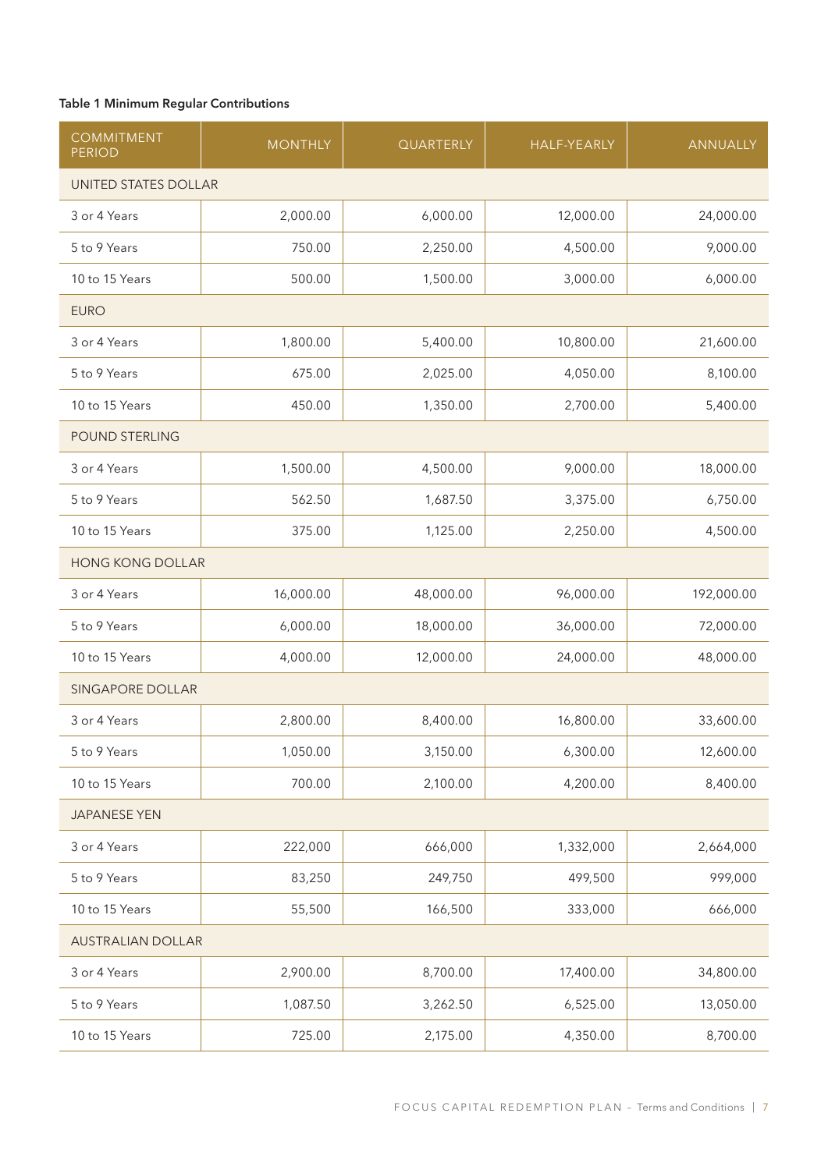### Table 1 Minimum Regular Contributions

| <b>COMMITMENT</b><br><b>PERIOD</b> | <b>MONTHLY</b>       | QUARTERLY | <b>HALF-YEARLY</b> | ANNUALLY   |  |  |  |
|------------------------------------|----------------------|-----------|--------------------|------------|--|--|--|
|                                    | UNITED STATES DOLLAR |           |                    |            |  |  |  |
| 3 or 4 Years                       | 2,000.00             | 6,000.00  | 12,000.00          | 24,000.00  |  |  |  |
| 5 to 9 Years                       | 750.00               | 2,250.00  | 4,500.00           | 9,000.00   |  |  |  |
| 10 to 15 Years                     | 500.00               | 1,500.00  | 3,000.00           | 6,000.00   |  |  |  |
| <b>EURO</b>                        |                      |           |                    |            |  |  |  |
| 3 or 4 Years                       | 1,800.00             | 5,400.00  | 10,800.00          | 21,600.00  |  |  |  |
| 5 to 9 Years                       | 675.00               | 2,025.00  | 4,050.00           | 8,100.00   |  |  |  |
| 10 to 15 Years                     | 450.00               | 1,350.00  | 2,700.00           | 5,400.00   |  |  |  |
| POUND STERLING                     |                      |           |                    |            |  |  |  |
| 3 or 4 Years                       | 1,500.00             | 4,500.00  | 9,000.00           | 18,000.00  |  |  |  |
| 5 to 9 Years                       | 562.50               | 1,687.50  | 3,375.00           | 6,750.00   |  |  |  |
| 10 to 15 Years                     | 375.00               | 1,125.00  | 2,250.00           | 4,500.00   |  |  |  |
| <b>HONG KONG DOLLAR</b>            |                      |           |                    |            |  |  |  |
| 3 or 4 Years                       | 16,000.00            | 48,000.00 | 96,000.00          | 192,000.00 |  |  |  |
| 5 to 9 Years                       | 6,000.00             | 18,000.00 | 36,000.00          | 72,000.00  |  |  |  |
| 10 to 15 Years                     | 4,000.00             | 12,000.00 | 24,000.00          | 48,000.00  |  |  |  |
| <b>SINGAPORE DOLLAR</b>            |                      |           |                    |            |  |  |  |
| 3 or 4 Years                       | 2,800.00             | 8,400.00  | 16,800.00          | 33,600.00  |  |  |  |
| 5 to 9 Years                       | 1,050.00             | 3,150.00  | 6,300.00           | 12,600.00  |  |  |  |
| 10 to 15 Years                     | 700.00               | 2,100.00  | 4,200.00           | 8,400.00   |  |  |  |
| <b>JAPANESE YEN</b>                |                      |           |                    |            |  |  |  |
| 3 or 4 Years                       | 222,000              | 666,000   | 1,332,000          | 2,664,000  |  |  |  |
| 5 to 9 Years                       | 83,250               | 249,750   | 499,500            | 999,000    |  |  |  |
| 10 to 15 Years                     | 55,500               | 166,500   | 333,000            | 666,000    |  |  |  |
| <b>AUSTRALIAN DOLLAR</b>           |                      |           |                    |            |  |  |  |
| 3 or 4 Years                       | 2,900.00             | 8,700.00  | 17,400.00          | 34,800.00  |  |  |  |
| 5 to 9 Years                       | 1,087.50             | 3,262.50  | 6,525.00           | 13,050.00  |  |  |  |
| 10 to 15 Years                     | 725.00               | 2,175.00  | 4,350.00           | 8,700.00   |  |  |  |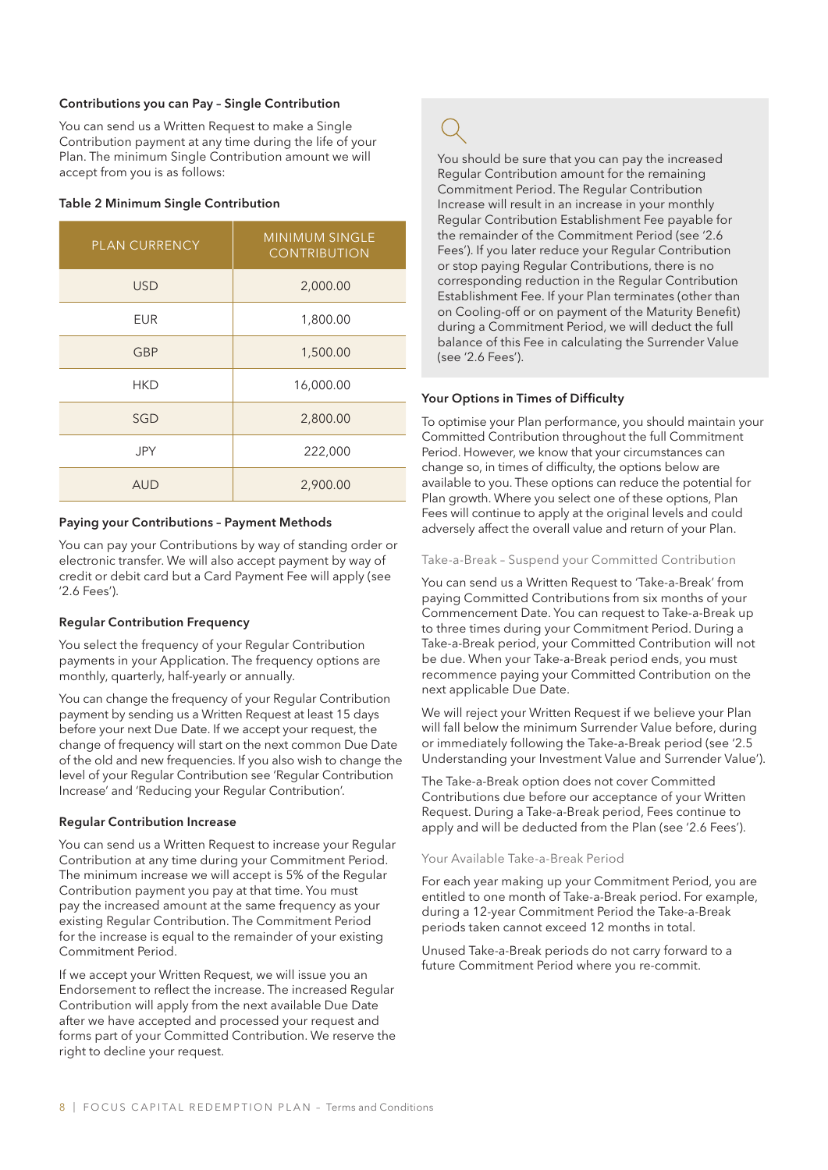#### Contributions you can Pay – Single Contribution

You can send us a Written Request to make a Single Contribution payment at any time during the life of your Plan. The minimum Single Contribution amount we will accept from you is as follows:

#### Table 2 Minimum Single Contribution

| <b>PLAN CURRENCY</b> | <b>MINIMUM SINGLE</b><br><b>CONTRIBUTION</b> |
|----------------------|----------------------------------------------|
| <b>USD</b>           | 2,000.00                                     |
| <b>EUR</b>           | 1,800.00                                     |
| <b>GBP</b>           | 1,500.00                                     |
| <b>HKD</b>           | 16,000.00                                    |
| SGD                  | 2,800.00                                     |
| <b>JPY</b>           | 222,000                                      |
| <b>AUD</b>           | 2,900.00                                     |

#### Paying your Contributions – Payment Methods

You can pay your Contributions by way of standing order or electronic transfer. We will also accept payment by way of credit or debit card but a Card Payment Fee will apply (see '2.6 Fees').

#### Regular Contribution Frequency

You select the frequency of your Regular Contribution payments in your Application. The frequency options are monthly, quarterly, half-yearly or annually.

You can change the frequency of your Regular Contribution payment by sending us a Written Request at least 15 days before your next Due Date. If we accept your request, the change of frequency will start on the next common Due Date of the old and new frequencies. If you also wish to change the level of your Regular Contribution see 'Regular Contribution Increase' and 'Reducing your Regular Contribution'.

#### Regular Contribution Increase

You can send us a Written Request to increase your Regular Contribution at any time during your Commitment Period. The minimum increase we will accept is 5% of the Regular Contribution payment you pay at that time. You must pay the increased amount at the same frequency as your existing Regular Contribution. The Commitment Period for the increase is equal to the remainder of your existing Commitment Period.

If we accept your Written Request, we will issue you an Endorsement to reflect the increase. The increased Regular Contribution will apply from the next available Due Date after we have accepted and processed your request and forms part of your Committed Contribution. We reserve the right to decline your request.

You should be sure that you can pay the increased Regular Contribution amount for the remaining Commitment Period. The Regular Contribution Increase will result in an increase in your monthly Regular Contribution Establishment Fee payable for the remainder of the Commitment Period (see '2.6 Fees'). If you later reduce your Regular Contribution or stop paying Regular Contributions, there is no corresponding reduction in the Regular Contribution Establishment Fee. If your Plan terminates (other than on Cooling-off or on payment of the Maturity Benefit) during a Commitment Period, we will deduct the full balance of this Fee in calculating the Surrender Value (see '2.6 Fees').

#### Your Options in Times of Difficulty

To optimise your Plan performance, you should maintain your Committed Contribution throughout the full Commitment Period. However, we know that your circumstances can change so, in times of difficulty, the options below are available to you. These options can reduce the potential for Plan growth. Where you select one of these options, Plan Fees will continue to apply at the original levels and could adversely affect the overall value and return of your Plan.

#### Take-a-Break – Suspend your Committed Contribution

You can send us a Written Request to 'Take-a-Break' from paying Committed Contributions from six months of your Commencement Date. You can request to Take-a-Break up to three times during your Commitment Period. During a Take-a-Break period, your Committed Contribution will not be due. When your Take-a-Break period ends, you must recommence paying your Committed Contribution on the next applicable Due Date.

We will reject your Written Request if we believe your Plan will fall below the minimum Surrender Value before, during or immediately following the Take-a-Break period (see '2.5 Understanding your Investment Value and Surrender Value').

The Take-a-Break option does not cover Committed Contributions due before our acceptance of your Written Request. During a Take-a-Break period, Fees continue to apply and will be deducted from the Plan (see '2.6 Fees').

#### Your Available Take-a-Break Period

For each year making up your Commitment Period, you are entitled to one month of Take-a-Break period. For example, during a 12-year Commitment Period the Take-a-Break periods taken cannot exceed 12 months in total.

Unused Take-a-Break periods do not carry forward to a future Commitment Period where you re-commit.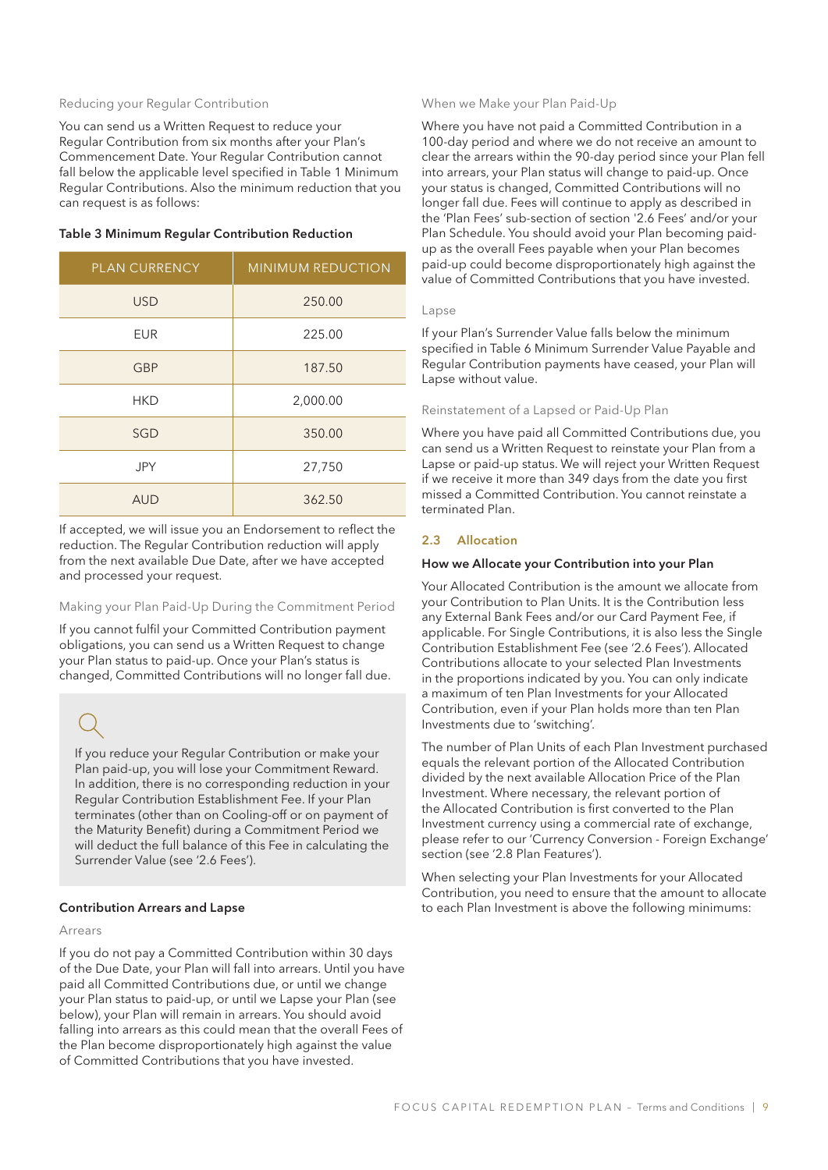#### Reducing your Regular Contribution

You can send us a Written Request to reduce your Regular Contribution from six months after your Plan's Commencement Date. Your Regular Contribution cannot fall below the applicable level specified in Table 1 Minimum Regular Contributions. Also the minimum reduction that you can request is as follows:

| <b>PLAN CURRENCY</b> | <b>MINIMUM REDUCTION</b> |
|----------------------|--------------------------|
| <b>USD</b>           | 250.00                   |
| <b>EUR</b>           | 225.00                   |
| <b>GBP</b>           | 187.50                   |
| <b>HKD</b>           | 2,000.00                 |
| SGD                  | 350.00                   |
| <b>JPY</b>           | 27,750                   |
| <b>AUD</b>           | 362.50                   |

#### Table 3 Minimum Regular Contribution Reduction

If accepted, we will issue you an Endorsement to reflect the reduction. The Regular Contribution reduction will apply from the next available Due Date, after we have accepted and processed your request.

#### Making your Plan Paid-Up During the Commitment Period

If you cannot fulfil your Committed Contribution payment obligations, you can send us a Written Request to change your Plan status to paid-up. Once your Plan's status is changed, Committed Contributions will no longer fall due.

If you reduce your Regular Contribution or make your Plan paid-up, you will lose your Commitment Reward. In addition, there is no corresponding reduction in your Regular Contribution Establishment Fee. If your Plan terminates (other than on Cooling-off or on payment of the Maturity Benefit) during a Commitment Period we will deduct the full balance of this Fee in calculating the Surrender Value (see '2.6 Fees').

### Contribution Arrears and Lapse

#### Arrears

If you do not pay a Committed Contribution within 30 days of the Due Date, your Plan will fall into arrears. Until you have paid all Committed Contributions due, or until we change your Plan status to paid-up, or until we Lapse your Plan (see below), your Plan will remain in arrears. You should avoid falling into arrears as this could mean that the overall Fees of the Plan become disproportionately high against the value of Committed Contributions that you have invested.

#### When we Make your Plan Paid-Up

Where you have not paid a Committed Contribution in a 100-day period and where we do not receive an amount to clear the arrears within the 90-day period since your Plan fell into arrears, your Plan status will change to paid-up. Once your status is changed, Committed Contributions will no longer fall due. Fees will continue to apply as described in the 'Plan Fees' sub-section of section '2.6 Fees' and/or your Plan Schedule. You should avoid your Plan becoming paidup as the overall Fees payable when your Plan becomes paid-up could become disproportionately high against the value of Committed Contributions that you have invested.

#### Lapse

If your Plan's Surrender Value falls below the minimum specified in Table 6 Minimum Surrender Value Payable and Regular Contribution payments have ceased, your Plan will Lapse without value.

#### Reinstatement of a Lapsed or Paid-Up Plan

Where you have paid all Committed Contributions due, you can send us a Written Request to reinstate your Plan from a Lapse or paid-up status. We will reject your Written Request if we receive it more than 349 days from the date you first missed a Committed Contribution. You cannot reinstate a terminated Plan.

### 2.3 Allocation

#### How we Allocate your Contribution into your Plan

Your Allocated Contribution is the amount we allocate from your Contribution to Plan Units. It is the Contribution less any External Bank Fees and/or our Card Payment Fee, if applicable. For Single Contributions, it is also less the Single Contribution Establishment Fee (see '2.6 Fees'). Allocated Contributions allocate to your selected Plan Investments in the proportions indicated by you. You can only indicate a maximum of ten Plan Investments for your Allocated Contribution, even if your Plan holds more than ten Plan Investments due to 'switching'.

The number of Plan Units of each Plan Investment purchased equals the relevant portion of the Allocated Contribution divided by the next available Allocation Price of the Plan Investment. Where necessary, the relevant portion of the Allocated Contribution is first converted to the Plan Investment currency using a commercial rate of exchange, please refer to our 'Currency Conversion - Foreign Exchange' section (see '2.8 Plan Features').

When selecting your Plan Investments for your Allocated Contribution, you need to ensure that the amount to allocate to each Plan Investment is above the following minimums: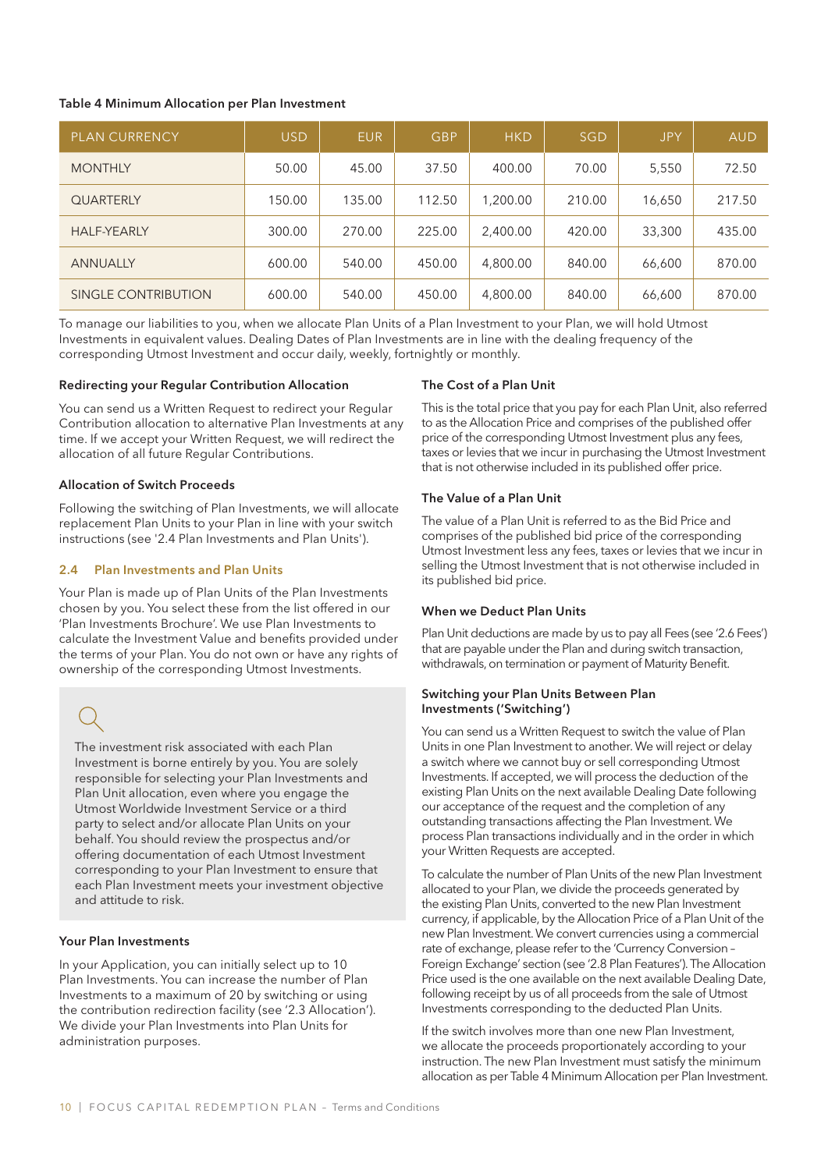#### Table 4 Minimum Allocation per Plan Investment

| <b>PLAN CURRENCY</b> | <b>USD</b> | <b>EUR</b> | <b>GBP</b> | <b>HKD</b> | <b>SGD</b> | <b>JPY</b> | <b>AUD</b> |
|----------------------|------------|------------|------------|------------|------------|------------|------------|
| <b>MONTHLY</b>       | 50.00      | 45.00      | 37.50      | 400.00     | 70.00      | 5,550      | 72.50      |
| <b>QUARTERLY</b>     | 150.00     | 135.00     | 112.50     | 1,200.00   | 210.00     | 16,650     | 217.50     |
| <b>HALF-YEARLY</b>   | 300.00     | 270.00     | 225.00     | 2,400.00   | 420.00     | 33,300     | 435.00     |
| <b>ANNUALLY</b>      | 600.00     | 540.00     | 450.00     | 4,800.00   | 840.00     | 66,600     | 870.00     |
| SINGLE CONTRIBUTION  | 600.00     | 540.00     | 450.00     | 4,800.00   | 840.00     | 66,600     | 870.00     |

To manage our liabilities to you, when we allocate Plan Units of a Plan Investment to your Plan, we will hold Utmost Investments in equivalent values. Dealing Dates of Plan Investments are in line with the dealing frequency of the corresponding Utmost Investment and occur daily, weekly, fortnightly or monthly.

### Redirecting your Regular Contribution Allocation

You can send us a Written Request to redirect your Regular Contribution allocation to alternative Plan Investments at any time. If we accept your Written Request, we will redirect the allocation of all future Regular Contributions.

#### Allocation of Switch Proceeds

Following the switching of Plan Investments, we will allocate replacement Plan Units to your Plan in line with your switch instructions (see '2.4 Plan Investments and Plan Units').

### 2.4 Plan Investments and Plan Units

Your Plan is made up of Plan Units of the Plan Investments chosen by you. You select these from the list offered in our 'Plan Investments Brochure'. We use Plan Investments to calculate the Investment Value and benefits provided under the terms of your Plan. You do not own or have any rights of ownership of the corresponding Utmost Investments.

The investment risk associated with each Plan Investment is borne entirely by you. You are solely responsible for selecting your Plan Investments and Plan Unit allocation, even where you engage the Utmost Worldwide Investment Service or a third party to select and/or allocate Plan Units on your behalf. You should review the prospectus and/or offering documentation of each Utmost Investment corresponding to your Plan Investment to ensure that each Plan Investment meets your investment objective and attitude to risk.

### Your Plan Investments

In your Application, you can initially select up to 10 Plan Investments. You can increase the number of Plan Investments to a maximum of 20 by switching or using the contribution redirection facility (see '2.3 Allocation'). We divide your Plan Investments into Plan Units for administration purposes.

#### The Cost of a Plan Unit

This is the total price that you pay for each Plan Unit, also referred to as the Allocation Price and comprises of the published offer price of the corresponding Utmost Investment plus any fees, taxes or levies that we incur in purchasing the Utmost Investment that is not otherwise included in its published offer price.

#### The Value of a Plan Unit

The value of a Plan Unit is referred to as the Bid Price and comprises of the published bid price of the corresponding Utmost Investment less any fees, taxes or levies that we incur in selling the Utmost Investment that is not otherwise included in its published bid price.

#### When we Deduct Plan Units

Plan Unit deductions are made by us to pay all Fees (see '2.6 Fees') that are payable under the Plan and during switch transaction, withdrawals, on termination or payment of Maturity Benefit.

#### Switching your Plan Units Between Plan Investments ('Switching')

You can send us a Written Request to switch the value of Plan Units in one Plan Investment to another. We will reject or delay a switch where we cannot buy or sell corresponding Utmost Investments. If accepted, we will process the deduction of the existing Plan Units on the next available Dealing Date following our acceptance of the request and the completion of any outstanding transactions affecting the Plan Investment. We process Plan transactions individually and in the order in which your Written Requests are accepted.

To calculate the number of Plan Units of the new Plan Investment allocated to your Plan, we divide the proceeds generated by the existing Plan Units, converted to the new Plan Investment currency, if applicable, by the Allocation Price of a Plan Unit of the new Plan Investment. We convert currencies using a commercial rate of exchange, please refer to the 'Currency Conversion – Foreign Exchange' section (see '2.8 Plan Features'). The Allocation Price used is the one available on the next available Dealing Date, following receipt by us of all proceeds from the sale of Utmost Investments corresponding to the deducted Plan Units.

If the switch involves more than one new Plan Investment, we allocate the proceeds proportionately according to your instruction. The new Plan Investment must satisfy the minimum allocation as per Table 4 Minimum Allocation per Plan Investment.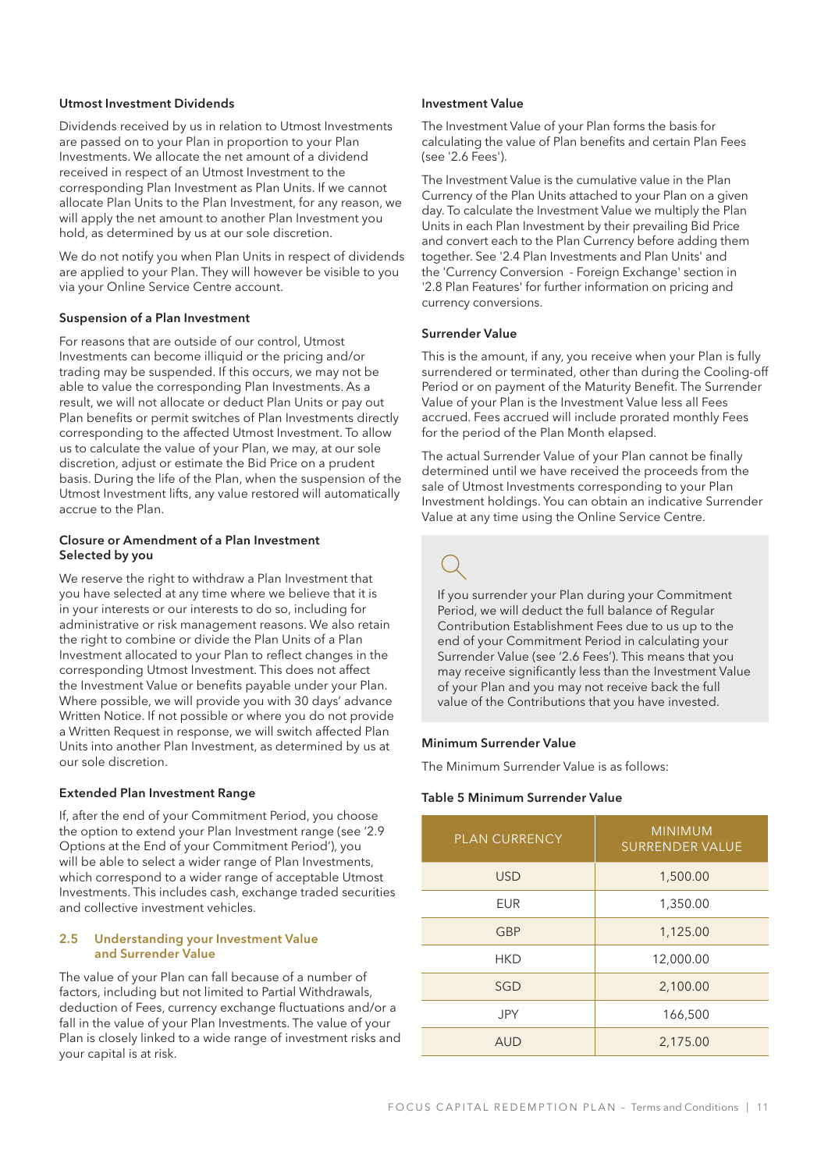#### Utmost Investment Dividends

Dividends received by us in relation to Utmost Investments are passed on to your Plan in proportion to your Plan Investments. We allocate the net amount of a dividend received in respect of an Utmost Investment to the corresponding Plan Investment as Plan Units. If we cannot allocate Plan Units to the Plan Investment, for any reason, we will apply the net amount to another Plan Investment you hold, as determined by us at our sole discretion.

We do not notify you when Plan Units in respect of dividends are applied to your Plan. They will however be visible to you via your Online Service Centre account.

### Suspension of a Plan Investment

For reasons that are outside of our control, Utmost Investments can become illiquid or the pricing and/or trading may be suspended. If this occurs, we may not be able to value the corresponding Plan Investments. As a result, we will not allocate or deduct Plan Units or pay out Plan benefits or permit switches of Plan Investments directly corresponding to the affected Utmost Investment. To allow us to calculate the value of your Plan, we may, at our sole discretion, adjust or estimate the Bid Price on a prudent basis. During the life of the Plan, when the suspension of the Utmost Investment lifts, any value restored will automatically accrue to the Plan.

### Closure or Amendment of a Plan Investment Selected by you

We reserve the right to withdraw a Plan Investment that you have selected at any time where we believe that it is in your interests or our interests to do so, including for administrative or risk management reasons. We also retain the right to combine or divide the Plan Units of a Plan Investment allocated to your Plan to reflect changes in the corresponding Utmost Investment. This does not affect the Investment Value or benefits payable under your Plan. Where possible, we will provide you with 30 days' advance Written Notice. If not possible or where you do not provide a Written Request in response, we will switch affected Plan Units into another Plan Investment, as determined by us at our sole discretion.

#### Extended Plan Investment Range

If, after the end of your Commitment Period, you choose the option to extend your Plan Investment range (see '2.9 Options at the End of your Commitment Period'), you will be able to select a wider range of Plan Investments, which correspond to a wider range of acceptable Utmost Investments. This includes cash, exchange traded securities and collective investment vehicles.

#### 2.5 Understanding your Investment Value and Surrender Value

The value of your Plan can fall because of a number of factors, including but not limited to Partial Withdrawals, deduction of Fees, currency exchange fluctuations and/or a fall in the value of your Plan Investments. The value of your Plan is closely linked to a wide range of investment risks and your capital is at risk.

#### Investment Value

The Investment Value of your Plan forms the basis for calculating the value of Plan benefits and certain Plan Fees (see '2.6 Fees').

The Investment Value is the cumulative value in the Plan Currency of the Plan Units attached to your Plan on a given day. To calculate the Investment Value we multiply the Plan Units in each Plan Investment by their prevailing Bid Price and convert each to the Plan Currency before adding them together. See '2.4 Plan Investments and Plan Units' and the 'Currency Conversion - Foreign Exchange' section in '2.8 Plan Features' for further information on pricing and currency conversions.

### Surrender Value

This is the amount, if any, you receive when your Plan is fully surrendered or terminated, other than during the Cooling-off Period or on payment of the Maturity Benefit. The Surrender Value of your Plan is the Investment Value less all Fees accrued. Fees accrued will include prorated monthly Fees for the period of the Plan Month elapsed.

The actual Surrender Value of your Plan cannot be finally determined until we have received the proceeds from the sale of Utmost Investments corresponding to your Plan Investment holdings. You can obtain an indicative Surrender Value at any time using the Online Service Centre.

If you surrender your Plan during your Commitment Period, we will deduct the full balance of Regular Contribution Establishment Fees due to us up to the end of your Commitment Period in calculating your Surrender Value (see '2.6 Fees'). This means that you may receive significantly less than the Investment Value of your Plan and you may not receive back the full value of the Contributions that you have invested.

#### Minimum Surrender Value

The Minimum Surrender Value is as follows:

#### Table 5 Minimum Surrender Value

| <b>PLAN CURRENCY</b> | <b>MINIMUM</b><br><b>SURRENDER VALUE</b> |
|----------------------|------------------------------------------|
| <b>USD</b>           | 1,500.00                                 |
| <b>EUR</b>           | 1,350.00                                 |
| <b>GBP</b>           | 1,125.00                                 |
| HKD                  | 12,000.00                                |
| <b>SGD</b>           | 2,100.00                                 |
| <b>JPY</b>           | 166,500                                  |
| <b>AUD</b>           | 2,175.00                                 |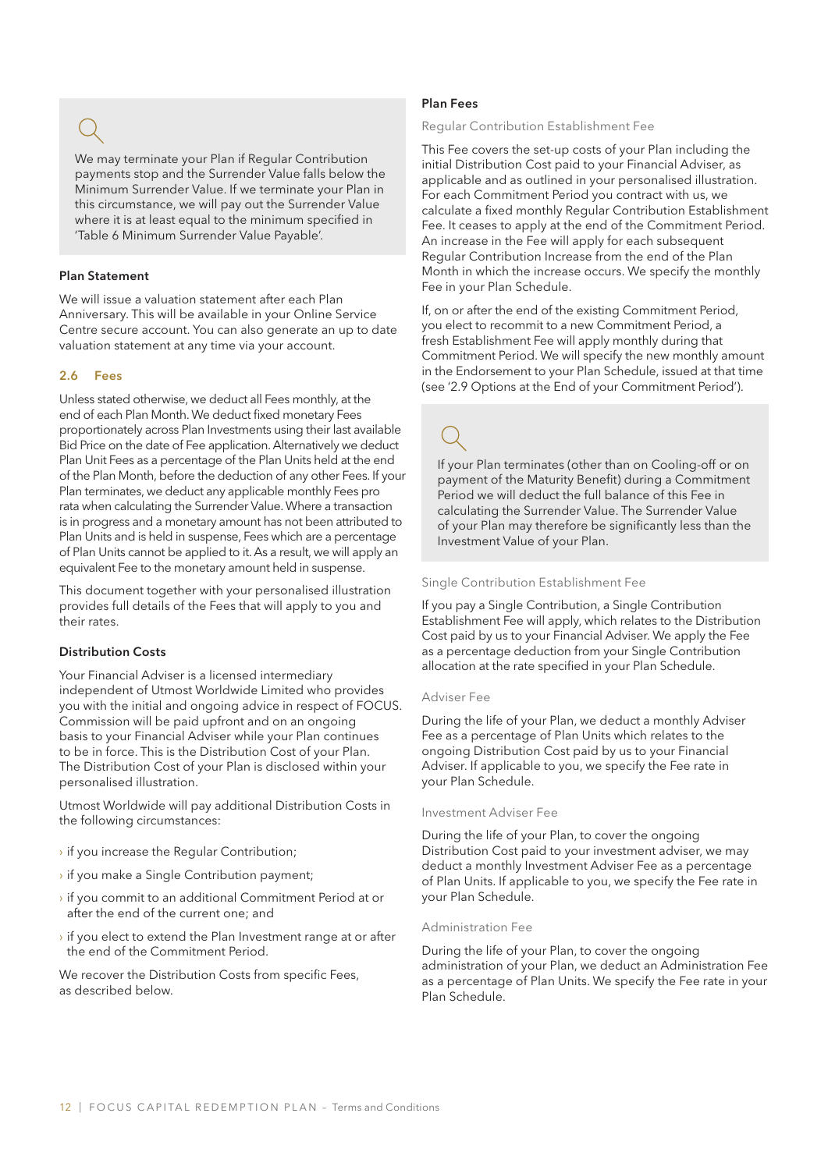We may terminate your Plan if Regular Contribution payments stop and the Surrender Value falls below the Minimum Surrender Value. If we terminate your Plan in this circumstance, we will pay out the Surrender Value where it is at least equal to the minimum specified in 'Table 6 Minimum Surrender Value Payable'.

#### Plan Statement

We will issue a valuation statement after each Plan Anniversary. This will be available in your Online Service Centre secure account. You can also generate an up to date valuation statement at any time via your account.

### 2.6 Fees

Unless stated otherwise, we deduct all Fees monthly, at the end of each Plan Month. We deduct fixed monetary Fees proportionately across Plan Investments using their last available Bid Price on the date of Fee application. Alternatively we deduct Plan Unit Fees as a percentage of the Plan Units held at the end of the Plan Month, before the deduction of any other Fees. If your Plan terminates, we deduct any applicable monthly Fees pro rata when calculating the Surrender Value. Where a transaction is in progress and a monetary amount has not been attributed to Plan Units and is held in suspense, Fees which are a percentage of Plan Units cannot be applied to it. As a result, we will apply an equivalent Fee to the monetary amount held in suspense.

This document together with your personalised illustration provides full details of the Fees that will apply to you and their rates.

### Distribution Costs

Your Financial Adviser is a licensed intermediary independent of Utmost Worldwide Limited who provides you with the initial and ongoing advice in respect of FOCUS. Commission will be paid upfront and on an ongoing basis to your Financial Adviser while your Plan continues to be in force. This is the Distribution Cost of your Plan. The Distribution Cost of your Plan is disclosed within your personalised illustration.

Utmost Worldwide will pay additional Distribution Costs in the following circumstances:

- › if you increase the Regular Contribution;
- › if you make a Single Contribution payment;
- $\rightarrow$  if you commit to an additional Commitment Period at or after the end of the current one; and
- $\rightarrow$  if you elect to extend the Plan Investment range at or after the end of the Commitment Period.

We recover the Distribution Costs from specific Fees, as described below.

### Plan Fees

#### Regular Contribution Establishment Fee

This Fee covers the set-up costs of your Plan including the initial Distribution Cost paid to your Financial Adviser, as applicable and as outlined in your personalised illustration. For each Commitment Period you contract with us, we calculate a fixed monthly Regular Contribution Establishment Fee. It ceases to apply at the end of the Commitment Period. An increase in the Fee will apply for each subsequent Regular Contribution Increase from the end of the Plan Month in which the increase occurs. We specify the monthly Fee in your Plan Schedule.

If, on or after the end of the existing Commitment Period, you elect to recommit to a new Commitment Period, a fresh Establishment Fee will apply monthly during that Commitment Period. We will specify the new monthly amount in the Endorsement to your Plan Schedule, issued at that time (see '2.9 Options at the End of your Commitment Period').

If your Plan terminates (other than on Cooling-off or on payment of the Maturity Benefit) during a Commitment Period we will deduct the full balance of this Fee in calculating the Surrender Value. The Surrender Value of your Plan may therefore be significantly less than the Investment Value of your Plan.

#### Single Contribution Establishment Fee

If you pay a Single Contribution, a Single Contribution Establishment Fee will apply, which relates to the Distribution Cost paid by us to your Financial Adviser. We apply the Fee as a percentage deduction from your Single Contribution allocation at the rate specified in your Plan Schedule.

#### Adviser Fee

During the life of your Plan, we deduct a monthly Adviser Fee as a percentage of Plan Units which relates to the ongoing Distribution Cost paid by us to your Financial Adviser. If applicable to you, we specify the Fee rate in your Plan Schedule.

#### Investment Adviser Fee

During the life of your Plan, to cover the ongoing Distribution Cost paid to your investment adviser, we may deduct a monthly Investment Adviser Fee as a percentage of Plan Units. If applicable to you, we specify the Fee rate in your Plan Schedule.

#### Administration Fee

During the life of your Plan, to cover the ongoing administration of your Plan, we deduct an Administration Fee as a percentage of Plan Units. We specify the Fee rate in your Plan Schedule.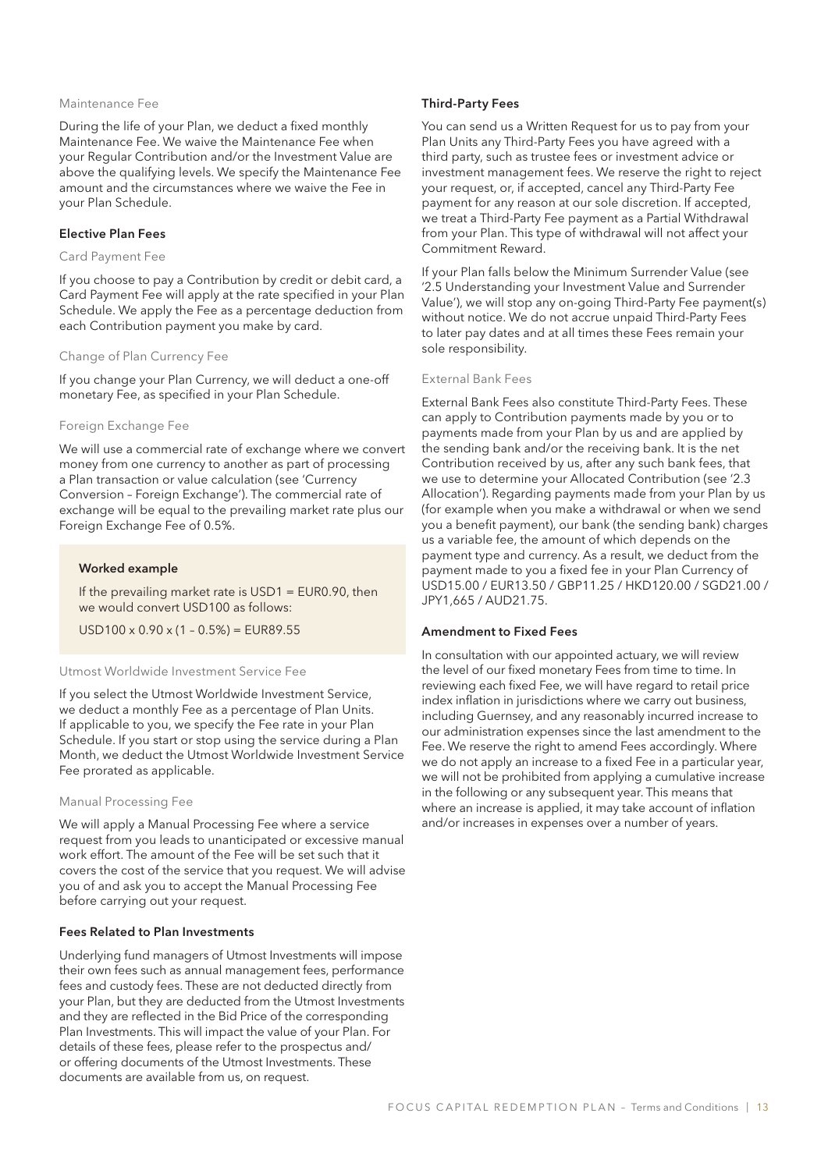#### Maintenance Fee

During the life of your Plan, we deduct a fixed monthly Maintenance Fee. We waive the Maintenance Fee when your Regular Contribution and/or the Investment Value are above the qualifying levels. We specify the Maintenance Fee amount and the circumstances where we waive the Fee in your Plan Schedule.

#### Elective Plan Fees

#### Card Payment Fee

If you choose to pay a Contribution by credit or debit card, a Card Payment Fee will apply at the rate specified in your Plan Schedule. We apply the Fee as a percentage deduction from each Contribution payment you make by card.

#### Change of Plan Currency Fee

If you change your Plan Currency, we will deduct a one-off monetary Fee, as specified in your Plan Schedule.

#### Foreign Exchange Fee

We will use a commercial rate of exchange where we convert money from one currency to another as part of processing a Plan transaction or value calculation (see 'Currency Conversion – Foreign Exchange'). The commercial rate of exchange will be equal to the prevailing market rate plus our Foreign Exchange Fee of 0.5%.

#### Worked example

If the prevailing market rate is USD1 = EUR0.90, then we would convert USD100 as follows:

 $USD100 \times 0.90 \times (1 - 0.5\%) = EUR89.55$ 

#### Utmost Worldwide Investment Service Fee

If you select the Utmost Worldwide Investment Service, we deduct a monthly Fee as a percentage of Plan Units. If applicable to you, we specify the Fee rate in your Plan Schedule. If you start or stop using the service during a Plan Month, we deduct the Utmost Worldwide Investment Service Fee prorated as applicable.

#### Manual Processing Fee

We will apply a Manual Processing Fee where a service request from you leads to unanticipated or excessive manual work effort. The amount of the Fee will be set such that it covers the cost of the service that you request. We will advise you of and ask you to accept the Manual Processing Fee before carrying out your request.

#### Fees Related to Plan Investments

Underlying fund managers of Utmost Investments will impose their own fees such as annual management fees, performance fees and custody fees. These are not deducted directly from your Plan, but they are deducted from the Utmost Investments and they are reflected in the Bid Price of the corresponding Plan Investments. This will impact the value of your Plan. For details of these fees, please refer to the prospectus and/ or offering documents of the Utmost Investments. These documents are available from us, on request.

#### Third-Party Fees

You can send us a Written Request for us to pay from your Plan Units any Third-Party Fees you have agreed with a third party, such as trustee fees or investment advice or investment management fees. We reserve the right to reject your request, or, if accepted, cancel any Third-Party Fee payment for any reason at our sole discretion. If accepted, we treat a Third-Party Fee payment as a Partial Withdrawal from your Plan. This type of withdrawal will not affect your Commitment Reward.

If your Plan falls below the Minimum Surrender Value (see '2.5 Understanding your Investment Value and Surrender Value'), we will stop any on-going Third-Party Fee payment(s) without notice. We do not accrue unpaid Third-Party Fees to later pay dates and at all times these Fees remain your sole responsibility.

### External Bank Fees

External Bank Fees also constitute Third-Party Fees. These can apply to Contribution payments made by you or to payments made from your Plan by us and are applied by the sending bank and/or the receiving bank. It is the net Contribution received by us, after any such bank fees, that we use to determine your Allocated Contribution (see '2.3 Allocation'). Regarding payments made from your Plan by us (for example when you make a withdrawal or when we send you a benefit payment), our bank (the sending bank) charges us a variable fee, the amount of which depends on the payment type and currency. As a result, we deduct from the payment made to you a fixed fee in your Plan Currency of USD15.00 / EUR13.50 / GBP11.25 / HKD120.00 / SGD21.00 / JPY1,665 / AUD21.75.

#### Amendment to Fixed Fees

In consultation with our appointed actuary, we will review the level of our fixed monetary Fees from time to time. In reviewing each fixed Fee, we will have regard to retail price index inflation in jurisdictions where we carry out business, including Guernsey, and any reasonably incurred increase to our administration expenses since the last amendment to the Fee. We reserve the right to amend Fees accordingly. Where we do not apply an increase to a fixed Fee in a particular year, we will not be prohibited from applying a cumulative increase in the following or any subsequent year. This means that where an increase is applied, it may take account of inflation and/or increases in expenses over a number of years.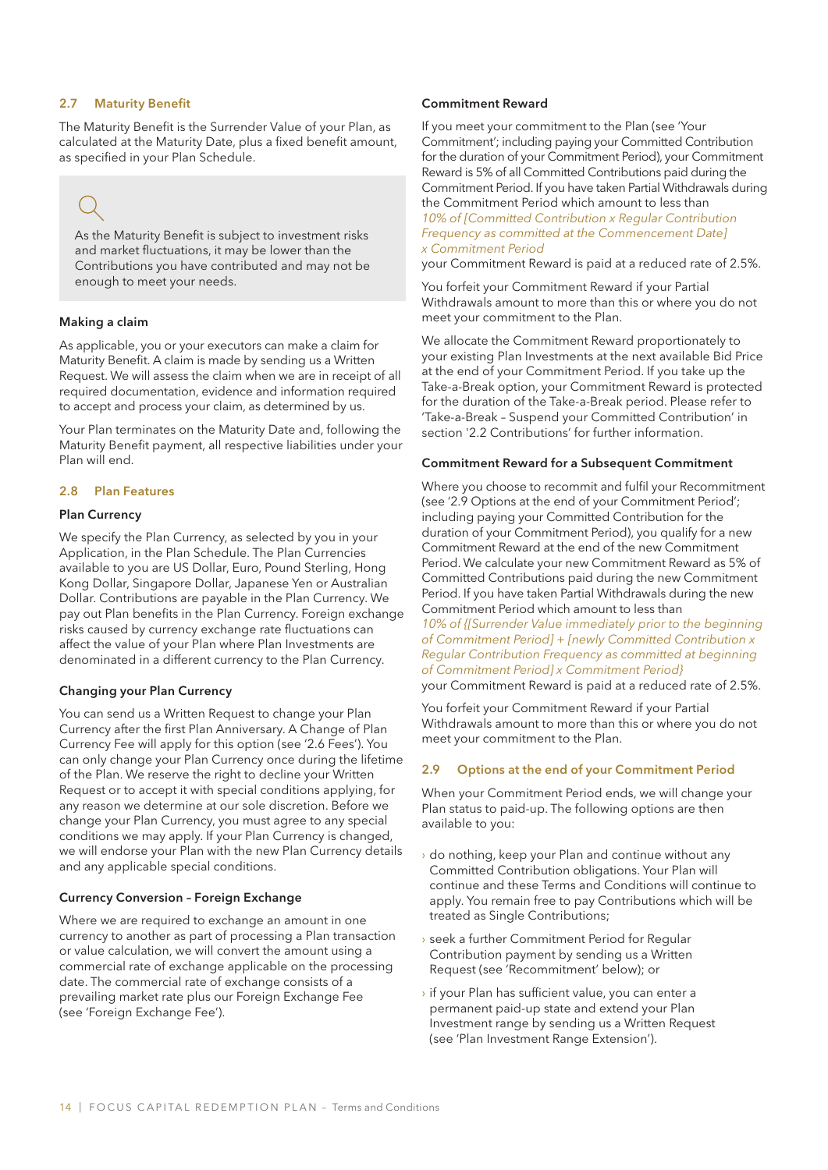#### 2.7 Maturity Benefit

The Maturity Benefit is the Surrender Value of your Plan, as calculated at the Maturity Date, plus a fixed benefit amount, as specified in your Plan Schedule.

As the Maturity Benefit is subject to investment risks and market fluctuations, it may be lower than the Contributions you have contributed and may not be enough to meet your needs.

### Making a claim

As applicable, you or your executors can make a claim for Maturity Benefit. A claim is made by sending us a Written Request. We will assess the claim when we are in receipt of all required documentation, evidence and information required to accept and process your claim, as determined by us.

Your Plan terminates on the Maturity Date and, following the Maturity Benefit payment, all respective liabilities under your Plan will end.

### 2.8 Plan Features

#### Plan Currency

We specify the Plan Currency, as selected by you in your Application, in the Plan Schedule. The Plan Currencies available to you are US Dollar, Euro, Pound Sterling, Hong Kong Dollar, Singapore Dollar, Japanese Yen or Australian Dollar. Contributions are payable in the Plan Currency. We pay out Plan benefits in the Plan Currency. Foreign exchange risks caused by currency exchange rate fluctuations can affect the value of your Plan where Plan Investments are denominated in a different currency to the Plan Currency.

### Changing your Plan Currency

You can send us a Written Request to change your Plan Currency after the first Plan Anniversary. A Change of Plan Currency Fee will apply for this option (see '2.6 Fees'). You can only change your Plan Currency once during the lifetime of the Plan. We reserve the right to decline your Written Request or to accept it with special conditions applying, for any reason we determine at our sole discretion. Before we change your Plan Currency, you must agree to any special conditions we may apply. If your Plan Currency is changed, we will endorse your Plan with the new Plan Currency details and any applicable special conditions.

#### Currency Conversion – Foreign Exchange

Where we are required to exchange an amount in one currency to another as part of processing a Plan transaction or value calculation, we will convert the amount using a commercial rate of exchange applicable on the processing date. The commercial rate of exchange consists of a prevailing market rate plus our Foreign Exchange Fee (see 'Foreign Exchange Fee').

#### Commitment Reward

If you meet your commitment to the Plan (see 'Your Commitment'; including paying your Committed Contribution for the duration of your Commitment Period), your Commitment Reward is 5% of all Committed Contributions paid during the Commitment Period. If you have taken Partial Withdrawals during the Commitment Period which amount to less than

*10% of [Committed Contribution x Regular Contribution Frequency as committed at the Commencement Date] x Commitment Period*

your Commitment Reward is paid at a reduced rate of 2.5%.

You forfeit your Commitment Reward if your Partial Withdrawals amount to more than this or where you do not meet your commitment to the Plan.

We allocate the Commitment Reward proportionately to your existing Plan Investments at the next available Bid Price at the end of your Commitment Period. If you take up the Take-a-Break option, your Commitment Reward is protected for the duration of the Take-a-Break period. Please refer to 'Take-a-Break – Suspend your Committed Contribution' in section '2.2 Contributions' for further information.

#### Commitment Reward for a Subsequent Commitment

Where you choose to recommit and fulfil your Recommitment (see '2.9 Options at the end of your Commitment Period'; including paying your Committed Contribution for the duration of your Commitment Period), you qualify for a new Commitment Reward at the end of the new Commitment Period. We calculate your new Commitment Reward as 5% of Committed Contributions paid during the new Commitment Period. If you have taken Partial Withdrawals during the new Commitment Period which amount to less than

*10% of {[Surrender Value immediately prior to the beginning of Commitment Period] + [newly Committed Contribution x Regular Contribution Frequency as committed at beginning of Commitment Period] x Commitment Period}*

your Commitment Reward is paid at a reduced rate of 2.5%.

You forfeit your Commitment Reward if your Partial Withdrawals amount to more than this or where you do not meet your commitment to the Plan.

#### 2.9 Options at the end of your Commitment Period

When your Commitment Period ends, we will change your Plan status to paid-up. The following options are then available to you:

- › do nothing, keep your Plan and continue without any Committed Contribution obligations. Your Plan will continue and these Terms and Conditions will continue to apply. You remain free to pay Contributions which will be treated as Single Contributions;
- › seek a further Commitment Period for Regular Contribution payment by sending us a Written Request (see 'Recommitment' below); or
- › if your Plan has sufficient value, you can enter a permanent paid-up state and extend your Plan Investment range by sending us a Written Request (see 'Plan Investment Range Extension').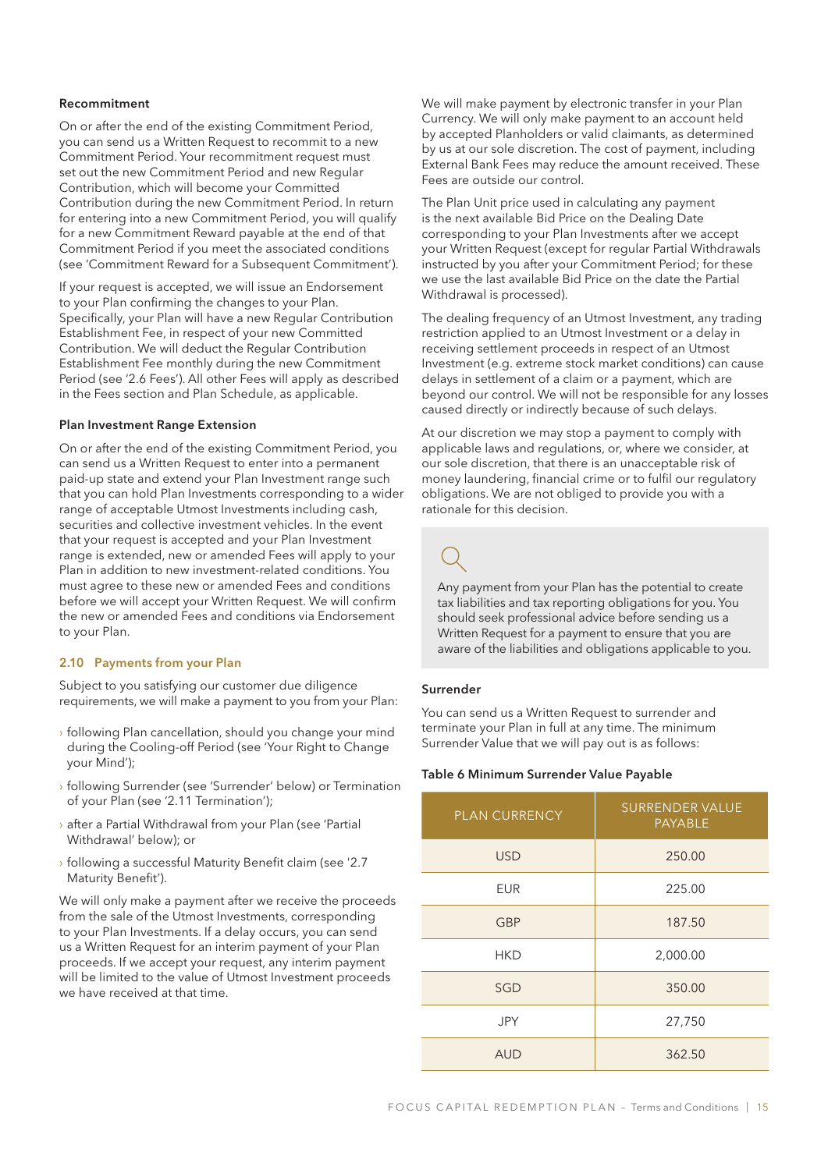#### Recommitment

On or after the end of the existing Commitment Period, you can send us a Written Request to recommit to a new Commitment Period. Your recommitment request must set out the new Commitment Period and new Regular Contribution, which will become your Committed Contribution during the new Commitment Period. In return for entering into a new Commitment Period, you will qualify for a new Commitment Reward payable at the end of that Commitment Period if you meet the associated conditions (see 'Commitment Reward for a Subsequent Commitment').

If your request is accepted, we will issue an Endorsement to your Plan confirming the changes to your Plan. Specifically, your Plan will have a new Regular Contribution Establishment Fee, in respect of your new Committed Contribution. We will deduct the Regular Contribution Establishment Fee monthly during the new Commitment Period (see '2.6 Fees'). All other Fees will apply as described in the Fees section and Plan Schedule, as applicable.

#### Plan Investment Range Extension

On or after the end of the existing Commitment Period, you can send us a Written Request to enter into a permanent paid-up state and extend your Plan Investment range such that you can hold Plan Investments corresponding to a wider range of acceptable Utmost Investments including cash, securities and collective investment vehicles. In the event that your request is accepted and your Plan Investment range is extended, new or amended Fees will apply to your Plan in addition to new investment-related conditions. You must agree to these new or amended Fees and conditions before we will accept your Written Request. We will confirm the new or amended Fees and conditions via Endorsement to your Plan.

### 2.10 Payments from your Plan

Subject to you satisfying our customer due diligence requirements, we will make a payment to you from your Plan:

- › following Plan cancellation, should you change your mind during the Cooling-off Period (see 'Your Right to Change your Mind');
- › following Surrender (see 'Surrender' below) or Termination of your Plan (see '2.11 Termination');
- › after a Partial Withdrawal from your Plan (see 'Partial Withdrawal' below); or
- › following a successful Maturity Benefit claim (see '2.7 Maturity Benefit').

We will only make a payment after we receive the proceeds from the sale of the Utmost Investments, corresponding to your Plan Investments. If a delay occurs, you can send us a Written Request for an interim payment of your Plan proceeds. If we accept your request, any interim payment will be limited to the value of Utmost Investment proceeds we have received at that time.

We will make payment by electronic transfer in your Plan Currency. We will only make payment to an account held by accepted Planholders or valid claimants, as determined by us at our sole discretion. The cost of payment, including External Bank Fees may reduce the amount received. These Fees are outside our control.

The Plan Unit price used in calculating any payment is the next available Bid Price on the Dealing Date corresponding to your Plan Investments after we accept your Written Request (except for regular Partial Withdrawals instructed by you after your Commitment Period; for these we use the last available Bid Price on the date the Partial Withdrawal is processed).

The dealing frequency of an Utmost Investment, any trading restriction applied to an Utmost Investment or a delay in receiving settlement proceeds in respect of an Utmost Investment (e.g. extreme stock market conditions) can cause delays in settlement of a claim or a payment, which are beyond our control. We will not be responsible for any losses caused directly or indirectly because of such delays.

At our discretion we may stop a payment to comply with applicable laws and regulations, or, where we consider, at our sole discretion, that there is an unacceptable risk of money laundering, financial crime or to fulfil our regulatory obligations. We are not obliged to provide you with a rationale for this decision.

Any payment from your Plan has the potential to create tax liabilities and tax reporting obligations for you. You should seek professional advice before sending us a Written Request for a payment to ensure that you are aware of the liabilities and obligations applicable to you.

#### Surrender

You can send us a Written Request to surrender and terminate your Plan in full at any time. The minimum Surrender Value that we will pay out is as follows:

#### Table 6 Minimum Surrender Value Payable

| <b>PLAN CURRENCY</b> | <b>SURRENDER VALUE</b><br><b>PAYABLE</b> |
|----------------------|------------------------------------------|
| <b>USD</b>           | 250.00                                   |
| <b>EUR</b>           | 225.00                                   |
| <b>GBP</b>           | 187.50                                   |
| <b>HKD</b>           | 2,000.00                                 |
| SGD                  | 350.00                                   |
| JPY                  | 27,750                                   |
| <b>AUD</b>           | 362.50                                   |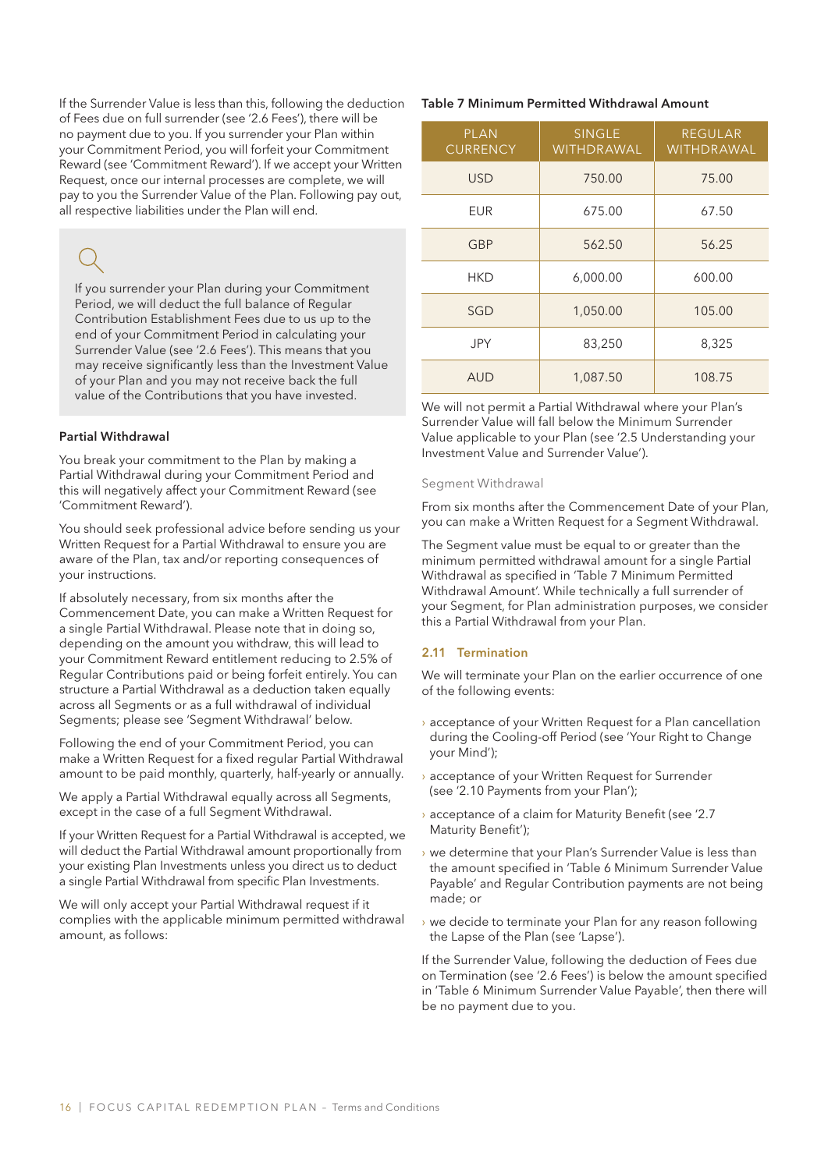If the Surrender Value is less than this, following the deduction of Fees due on full surrender (see '2.6 Fees'), there will be no payment due to you. If you surrender your Plan within your Commitment Period, you will forfeit your Commitment Reward (see 'Commitment Reward'). If we accept your Written Request, once our internal processes are complete, we will pay to you the Surrender Value of the Plan. Following pay out, all respective liabilities under the Plan will end.

If you surrender your Plan during your Commitment Period, we will deduct the full balance of Regular Contribution Establishment Fees due to us up to the end of your Commitment Period in calculating your Surrender Value (see '2.6 Fees'). This means that you may receive significantly less than the Investment Value of your Plan and you may not receive back the full value of the Contributions that you have invested.

### Partial Withdrawal

You break your commitment to the Plan by making a Partial Withdrawal during your Commitment Period and this will negatively affect your Commitment Reward (see 'Commitment Reward').

You should seek professional advice before sending us your Written Request for a Partial Withdrawal to ensure you are aware of the Plan, tax and/or reporting consequences of your instructions.

If absolutely necessary, from six months after the Commencement Date, you can make a Written Request for a single Partial Withdrawal. Please note that in doing so, depending on the amount you withdraw, this will lead to your Commitment Reward entitlement reducing to 2.5% of Regular Contributions paid or being forfeit entirely. You can structure a Partial Withdrawal as a deduction taken equally across all Segments or as a full withdrawal of individual Segments; please see 'Segment Withdrawal' below.

Following the end of your Commitment Period, you can make a Written Request for a fixed regular Partial Withdrawal amount to be paid monthly, quarterly, half-yearly or annually.

We apply a Partial Withdrawal equally across all Segments, except in the case of a full Segment Withdrawal.

If your Written Request for a Partial Withdrawal is accepted, we will deduct the Partial Withdrawal amount proportionally from your existing Plan Investments unless you direct us to deduct a single Partial Withdrawal from specific Plan Investments.

We will only accept your Partial Withdrawal request if it complies with the applicable minimum permitted withdrawal amount, as follows:

#### Table 7 Minimum Permitted Withdrawal Amount

| <b>PLAN</b><br><b>CURRENCY</b> | <b>SINGLE</b><br><b>WITHDRAWAL</b> | <b>REGULAR</b><br><b>WITHDRAWAL</b> |
|--------------------------------|------------------------------------|-------------------------------------|
| <b>USD</b>                     | 750.00                             | 75.00                               |
| EUR                            | 675.00                             | 67.50                               |
| <b>GBP</b>                     | 562.50                             | 56.25                               |
| HKD                            | 6,000.00                           | 600.00                              |
| <b>SGD</b>                     | 1,050.00                           | 105.00                              |
| JPY                            | 83,250                             | 8,325                               |
| <b>AUD</b>                     | 1,087.50                           | 108.75                              |

We will not permit a Partial Withdrawal where your Plan's Surrender Value will fall below the Minimum Surrender Value applicable to your Plan (see '2.5 Understanding your Investment Value and Surrender Value').

### Segment Withdrawal

From six months after the Commencement Date of your Plan, you can make a Written Request for a Segment Withdrawal.

The Segment value must be equal to or greater than the minimum permitted withdrawal amount for a single Partial Withdrawal as specified in 'Table 7 Minimum Permitted Withdrawal Amount'. While technically a full surrender of your Segment, for Plan administration purposes, we consider this a Partial Withdrawal from your Plan.

### 2.11 Termination

We will terminate your Plan on the earlier occurrence of one of the following events:

- › acceptance of your Written Request for a Plan cancellation during the Cooling-off Period (see 'Your Right to Change your Mind');
- › acceptance of your Written Request for Surrender (see '2.10 Payments from your Plan');
- › acceptance of a claim for Maturity Benefit (see '2.7 Maturity Benefit');
- › we determine that your Plan's Surrender Value is less than the amount specified in 'Table 6 Minimum Surrender Value Payable' and Regular Contribution payments are not being made; or
- › we decide to terminate your Plan for any reason following the Lapse of the Plan (see 'Lapse').

If the Surrender Value, following the deduction of Fees due on Termination (see '2.6 Fees') is below the amount specified in 'Table 6 Minimum Surrender Value Payable', then there will be no payment due to you.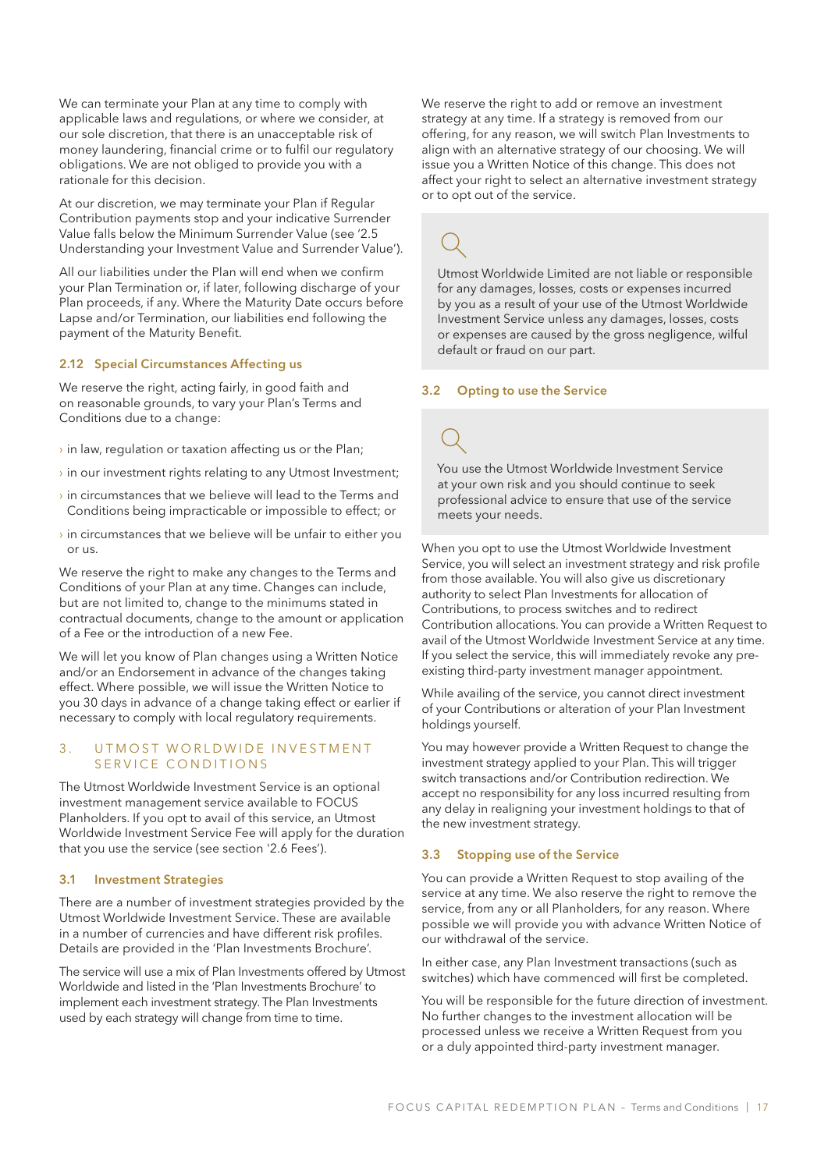We can terminate your Plan at any time to comply with applicable laws and regulations, or where we consider, at our sole discretion, that there is an unacceptable risk of money laundering, financial crime or to fulfil our regulatory obligations. We are not obliged to provide you with a rationale for this decision.

At our discretion, we may terminate your Plan if Regular Contribution payments stop and your indicative Surrender Value falls below the Minimum Surrender Value (see '2.5 Understanding your Investment Value and Surrender Value').

All our liabilities under the Plan will end when we confirm your Plan Termination or, if later, following discharge of your Plan proceeds, if any. Where the Maturity Date occurs before Lapse and/or Termination, our liabilities end following the payment of the Maturity Benefit.

#### 2.12 Special Circumstances Affecting us

We reserve the right, acting fairly, in good faith and on reasonable grounds, to vary your Plan's Terms and Conditions due to a change:

- $\rightarrow$  in law, regulation or taxation affecting us or the Plan;
- $\rightarrow$  in our investment rights relating to any Utmost Investment;
- $\rightarrow$  in circumstances that we believe will lead to the Terms and Conditions being impracticable or impossible to effect; or
- $\rightarrow$  in circumstances that we believe will be unfair to either you or us.

We reserve the right to make any changes to the Terms and Conditions of your Plan at any time. Changes can include, but are not limited to, change to the minimums stated in contractual documents, change to the amount or application of a Fee or the introduction of a new Fee.

We will let you know of Plan changes using a Written Notice and/or an Endorsement in advance of the changes taking effect. Where possible, we will issue the Written Notice to you 30 days in advance of a change taking effect or earlier if necessary to comply with local regulatory requirements.

#### 3. U T MOST WORLD WIDE INVESTMENT SERVICE CONDITIONS

The Utmost Worldwide Investment Service is an optional investment management service available to FOCUS Planholders. If you opt to avail of this service, an Utmost Worldwide Investment Service Fee will apply for the duration that you use the service (see section '2.6 Fees').

#### 3.1 Investment Strategies

There are a number of investment strategies provided by the Utmost Worldwide Investment Service. These are available in a number of currencies and have different risk profiles. Details are provided in the 'Plan Investments Brochure'.

The service will use a mix of Plan Investments offered by Utmost Worldwide and listed in the 'Plan Investments Brochure' to implement each investment strategy. The Plan Investments used by each strategy will change from time to time.

We reserve the right to add or remove an investment strategy at any time. If a strategy is removed from our offering, for any reason, we will switch Plan Investments to align with an alternative strategy of our choosing. We will issue you a Written Notice of this change. This does not affect your right to select an alternative investment strategy or to opt out of the service.

Utmost Worldwide Limited are not liable or responsible for any damages, losses, costs or expenses incurred by you as a result of your use of the Utmost Worldwide Investment Service unless any damages, losses, costs or expenses are caused by the gross negligence, wilful default or fraud on our part.

#### 3.2 Opting to use the Service

You use the Utmost Worldwide Investment Service at your own risk and you should continue to seek professional advice to ensure that use of the service meets your needs.

When you opt to use the Utmost Worldwide Investment Service, you will select an investment strategy and risk profile from those available. You will also give us discretionary authority to select Plan Investments for allocation of Contributions, to process switches and to redirect Contribution allocations. You can provide a Written Request to avail of the Utmost Worldwide Investment Service at any time. If you select the service, this will immediately revoke any preexisting third-party investment manager appointment.

While availing of the service, you cannot direct investment of your Contributions or alteration of your Plan Investment holdings yourself.

You may however provide a Written Request to change the investment strategy applied to your Plan. This will trigger switch transactions and/or Contribution redirection. We accept no responsibility for any loss incurred resulting from any delay in realigning your investment holdings to that of the new investment strategy.

#### 3.3 Stopping use of the Service

You can provide a Written Request to stop availing of the service at any time. We also reserve the right to remove the service, from any or all Planholders, for any reason. Where possible we will provide you with advance Written Notice of our withdrawal of the service.

In either case, any Plan Investment transactions (such as switches) which have commenced will first be completed.

You will be responsible for the future direction of investment. No further changes to the investment allocation will be processed unless we receive a Written Request from you or a duly appointed third-party investment manager.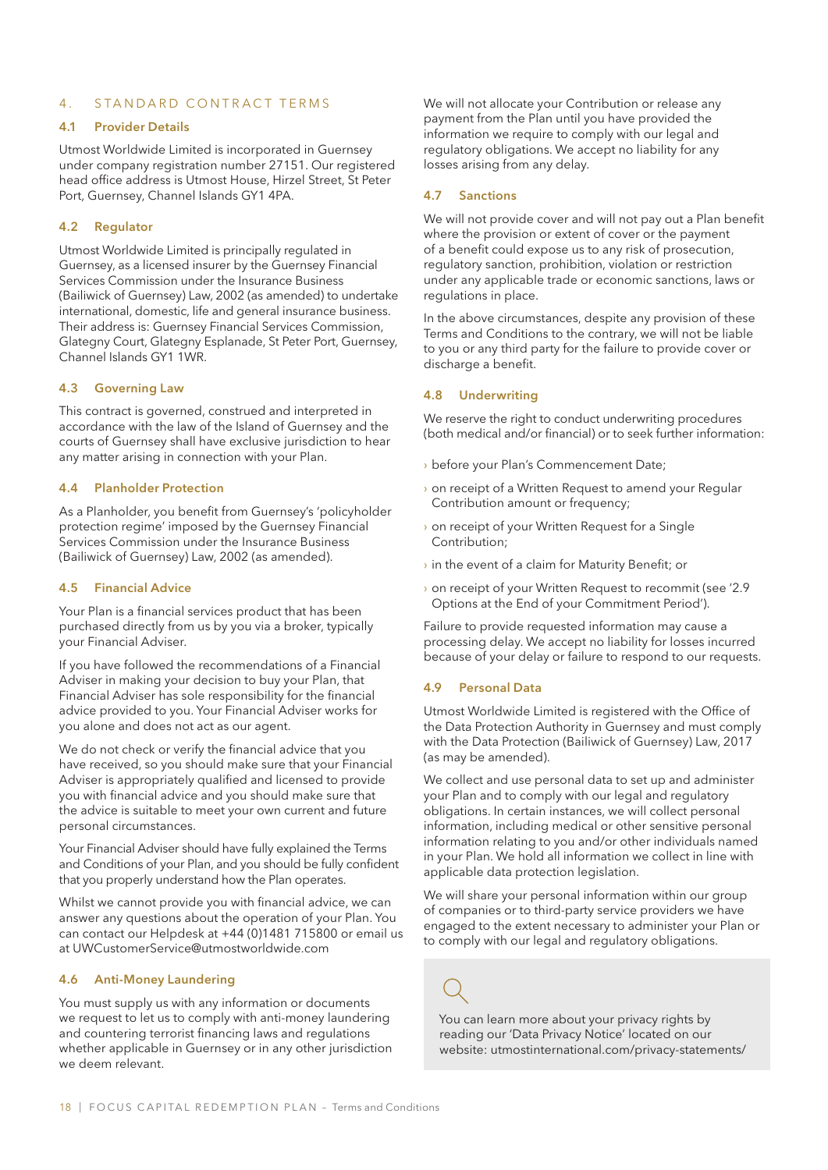#### 4 . STANDARD CONTRACT TERMS

#### 4.1 Provider Details

Utmost Worldwide Limited is incorporated in Guernsey under company registration number 27151. Our registered head office address is Utmost House, Hirzel Street, St Peter Port, Guernsey, Channel Islands GY1 4PA.

#### 4.2 Regulator

Utmost Worldwide Limited is principally regulated in Guernsey, as a licensed insurer by the Guernsey Financial Services Commission under the Insurance Business (Bailiwick of Guernsey) Law, 2002 (as amended) to undertake international, domestic, life and general insurance business. Their address is: Guernsey Financial Services Commission, Glategny Court, Glategny Esplanade, St Peter Port, Guernsey, Channel Islands GY1 1WR.

#### 4.3 Governing Law

This contract is governed, construed and interpreted in accordance with the law of the Island of Guernsey and the courts of Guernsey shall have exclusive jurisdiction to hear any matter arising in connection with your Plan.

#### 4.4 Planholder Protection

As a Planholder, you benefit from Guernsey's 'policyholder protection regime' imposed by the Guernsey Financial Services Commission under the Insurance Business (Bailiwick of Guernsey) Law, 2002 (as amended).

#### 4.5 Financial Advice

Your Plan is a financial services product that has been purchased directly from us by you via a broker, typically your Financial Adviser.

If you have followed the recommendations of a Financial Adviser in making your decision to buy your Plan, that Financial Adviser has sole responsibility for the financial advice provided to you. Your Financial Adviser works for you alone and does not act as our agent.

We do not check or verify the financial advice that you have received, so you should make sure that your Financial Adviser is appropriately qualified and licensed to provide you with financial advice and you should make sure that the advice is suitable to meet your own current and future personal circumstances.

Your Financial Adviser should have fully explained the Terms and Conditions of your Plan, and you should be fully confident that you properly understand how the Plan operates.

Whilst we cannot provide you with financial advice, we can answer any questions about the operation of your Plan. You can contact our Helpdesk at +44 (0)1481 715800 or email us at UWCustomerService@utmostworldwide.com

#### 4.6 Anti-Money Laundering

You must supply us with any information or documents we request to let us to comply with anti-money laundering and countering terrorist financing laws and regulations whether applicable in Guernsey or in any other jurisdiction we deem relevant.

We will not allocate your Contribution or release any payment from the Plan until you have provided the information we require to comply with our legal and regulatory obligations. We accept no liability for any losses arising from any delay.

#### 4.7 Sanctions

We will not provide cover and will not pay out a Plan benefit where the provision or extent of cover or the payment of a benefit could expose us to any risk of prosecution, regulatory sanction, prohibition, violation or restriction under any applicable trade or economic sanctions, laws or regulations in place.

In the above circumstances, despite any provision of these Terms and Conditions to the contrary, we will not be liable to you or any third party for the failure to provide cover or discharge a benefit.

#### 4.8 Underwriting

We reserve the right to conduct underwriting procedures (both medical and/or financial) or to seek further information:

- › before your Plan's Commencement Date;
- › on receipt of a Written Request to amend your Regular Contribution amount or frequency;
- › on receipt of your Written Request for a Single Contribution;
- $\rightarrow$  in the event of a claim for Maturity Benefit; or
- › on receipt of your Written Request to recommit (see '2.9 Options at the End of your Commitment Period').

Failure to provide requested information may cause a processing delay. We accept no liability for losses incurred because of your delay or failure to respond to our requests.

#### 4.9 Personal Data

Utmost Worldwide Limited is registered with the Office of the Data Protection Authority in Guernsey and must comply with the Data Protection (Bailiwick of Guernsey) Law, 2017 (as may be amended).

We collect and use personal data to set up and administer your Plan and to comply with our legal and regulatory obligations. In certain instances, we will collect personal information, including medical or other sensitive personal information relating to you and/or other individuals named in your Plan. We hold all information we collect in line with applicable data protection legislation.

We will share your personal information within our group of companies or to third-party service providers we have engaged to the extent necessary to administer your Plan or to comply with our legal and regulatory obligations.

You can learn more about your privacy rights by reading our 'Data Privacy Notice' located on our website: utmostinternational.com/privacy-statements/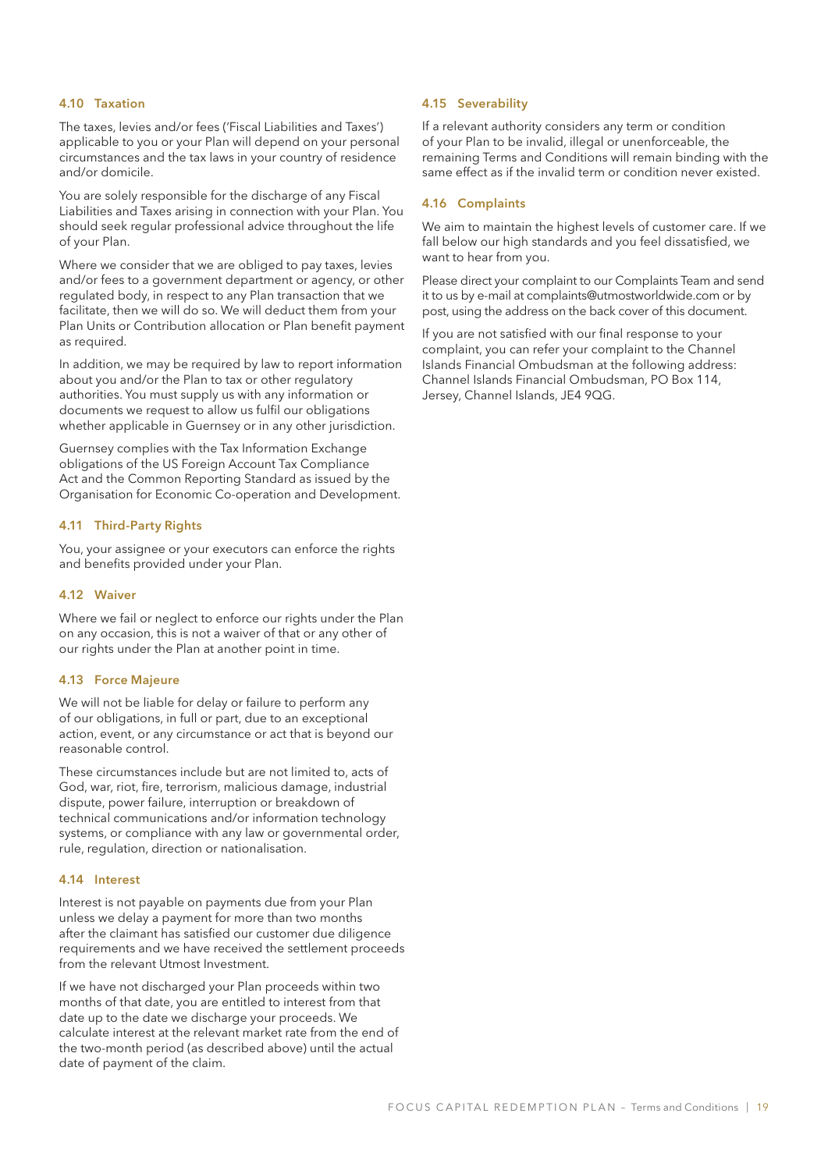### 4.10 Taxation

The taxes, levies and/or fees ('Fiscal Liabilities and Taxes') applicable to you or your Plan will depend on your personal circumstances and the tax laws in your country of residence and/or domicile.

You are solely responsible for the discharge of any Fiscal Liabilities and Taxes arising in connection with your Plan. You should seek regular professional advice throughout the life of your Plan.

Where we consider that we are obliged to pay taxes, levies and/or fees to a government department or agency, or other regulated body, in respect to any Plan transaction that we facilitate, then we will do so. We will deduct them from your Plan Units or Contribution allocation or Plan benefit payment as required.

In addition, we may be required by law to report information about you and/or the Plan to tax or other regulatory authorities. You must supply us with any information or documents we request to allow us fulfil our obligations whether applicable in Guernsey or in any other jurisdiction.

Guernsey complies with the Tax Information Exchange obligations of the US Foreign Account Tax Compliance Act and the Common Reporting Standard as issued by the Organisation for Economic Co-operation and Development.

#### 4.11 Third-Party Rights

You, your assignee or your executors can enforce the rights and benefits provided under your Plan.

#### 4.12 Waiver

Where we fail or neglect to enforce our rights under the Plan on any occasion, this is not a waiver of that or any other of our rights under the Plan at another point in time.

#### 4.13 Force Majeure

We will not be liable for delay or failure to perform any of our obligations, in full or part, due to an exceptional action, event, or any circumstance or act that is beyond our reasonable control.

These circumstances include but are not limited to, acts of God, war, riot, fire, terrorism, malicious damage, industrial dispute, power failure, interruption or breakdown of technical communications and/or information technology systems, or compliance with any law or governmental order, rule, regulation, direction or nationalisation.

#### 4.14 Interest

Interest is not payable on payments due from your Plan unless we delay a payment for more than two months after the claimant has satisfied our customer due diligence requirements and we have received the settlement proceeds from the relevant Utmost Investment.

If we have not discharged your Plan proceeds within two months of that date, you are entitled to interest from that date up to the date we discharge your proceeds. We calculate interest at the relevant market rate from the end of the two-month period (as described above) until the actual date of payment of the claim.

#### 4.15 Severability

If a relevant authority considers any term or condition of your Plan to be invalid, illegal or unenforceable, the remaining Terms and Conditions will remain binding with the same effect as if the invalid term or condition never existed.

### 4.16 Complaints

We aim to maintain the highest levels of customer care. If we fall below our high standards and you feel dissatisfied, we want to hear from you.

Please direct your complaint to our Complaints Team and send it to us by e-mail at complaints@utmostworldwide.com or by post, using the address on the back cover of this document.

If you are not satisfied with our final response to your complaint, you can refer your complaint to the Channel Islands Financial Ombudsman at the following address: Channel Islands Financial Ombudsman, PO Box 114, Jersey, Channel Islands, JE4 9QG.